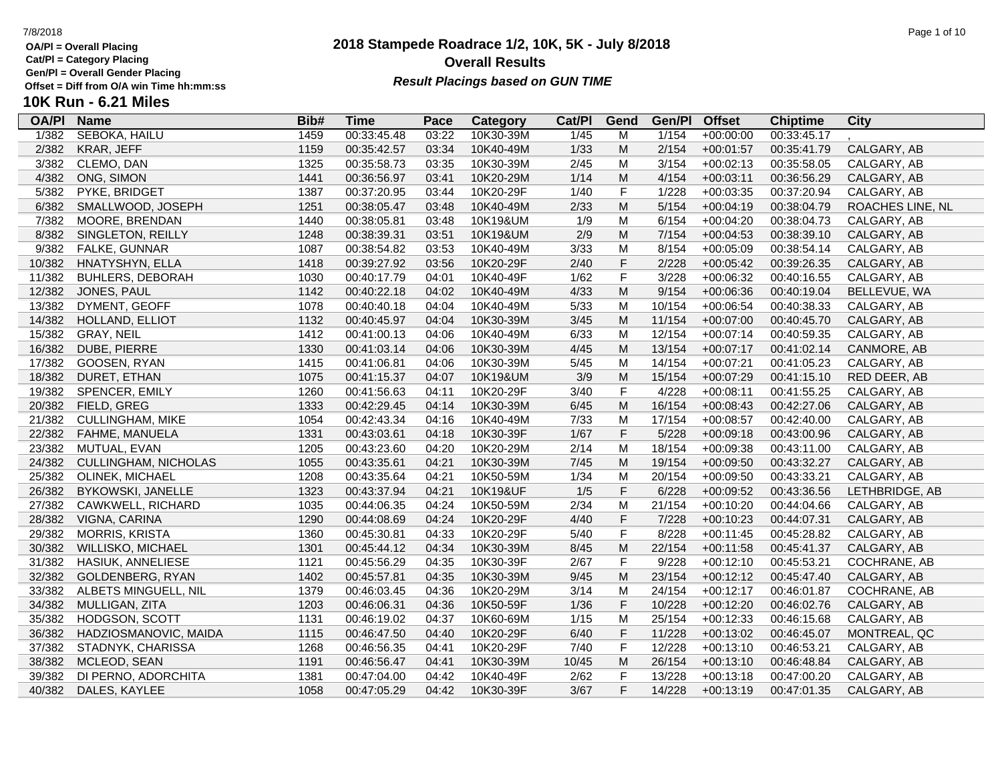**Cat/Pl = Category Placing**

**Gen/Pl = Overall Gender Placing**

# **2018 Stampede Roadrace 1/2, 10K, 5K - July 8/2018** 7/8/2018 Page 1 of 10 **Overall Results** Gen/PI = Overall Gender Placing<br>Offset = Diff from O/A win Time hh:mm:ss *Result Placings based on GUN TIME*

| <b>OA/PI</b> | <b>Name</b>              | Bib# | <b>Time</b> | Pace  | <b>Category</b> | Cat/PI | Gend        | Gen/Pl | <b>Offset</b> | <b>Chiptime</b> | <b>City</b>      |
|--------------|--------------------------|------|-------------|-------|-----------------|--------|-------------|--------|---------------|-----------------|------------------|
| 1/382        | <b>SEBOKA, HAILU</b>     | 1459 | 00:33:45.48 | 03:22 | 10K30-39M       | 1/45   | Μ           | 1/154  | $+00:00:00$   | 00:33:45.17     |                  |
| 2/382        | KRAR, JEFF               | 1159 | 00:35:42.57 | 03:34 | 10K40-49M       | 1/33   | M           | 2/154  | $+00:01:57$   | 00:35:41.79     | CALGARY, AB      |
| 3/382        | CLEMO, DAN               | 1325 | 00:35:58.73 | 03:35 | 10K30-39M       | 2/45   | M           | 3/154  | $+00:02:13$   | 00:35:58.05     | CALGARY, AB      |
| 4/382        | ONG, SIMON               | 1441 | 00:36:56.97 | 03:41 | 10K20-29M       | 1/14   | ${\sf M}$   | 4/154  | $+00:03:11$   | 00:36:56.29     | CALGARY, AB      |
| 5/382        | PYKE, BRIDGET            | 1387 | 00:37:20.95 | 03:44 | 10K20-29F       | 1/40   | F           | 1/228  | $+00:03:35$   | 00:37:20.94     | CALGARY, AB      |
| 6/382        | SMALLWOOD, JOSEPH        | 1251 | 00:38:05.47 | 03:48 | 10K40-49M       | 2/33   | M           | 5/154  | $+00:04:19$   | 00:38:04.79     | ROACHES LINE, NL |
| 7/382        | MOORE, BRENDAN           | 1440 | 00:38:05.81 | 03:48 | 10K19&UM        | 1/9    | М           | 6/154  | $+00:04:20$   | 00:38:04.73     | CALGARY, AB      |
| 8/382        | SINGLETON, REILLY        | 1248 | 00:38:39.31 | 03:51 | 10K19&UM        | 2/9    | M           | 7/154  | $+00:04:53$   | 00:38:39.10     | CALGARY, AB      |
| 9/382        | FALKE, GUNNAR            | 1087 | 00:38:54.82 | 03:53 | 10K40-49M       | 3/33   | M           | 8/154  | $+00:05:09$   | 00:38:54.14     | CALGARY, AB      |
| 10/382       | HNATYSHYN, ELLA          | 1418 | 00:39:27.92 | 03:56 | 10K20-29F       | 2/40   | $\mathsf F$ | 2/228  | $+00:05:42$   | 00:39:26.35     | CALGARY, AB      |
| 11/382       | <b>BUHLERS, DEBORAH</b>  | 1030 | 00:40:17.79 | 04:01 | 10K40-49F       | 1/62   | F           | 3/228  | $+00:06:32$   | 00:40:16.55     | CALGARY, AB      |
| 12/382       | JONES, PAUL              | 1142 | 00:40:22.18 | 04:02 | 10K40-49M       | 4/33   | M           | 9/154  | $+00:06:36$   | 00:40:19.04     | BELLEVUE, WA     |
| 13/382       | DYMENT, GEOFF            | 1078 | 00:40:40.18 | 04:04 | 10K40-49M       | 5/33   | M           | 10/154 | $+00:06:54$   | 00:40:38.33     | CALGARY, AB      |
| 14/382       | HOLLAND, ELLIOT          | 1132 | 00:40:45.97 | 04:04 | 10K30-39M       | 3/45   | M           | 11/154 | $+00:07:00$   | 00:40:45.70     | CALGARY, AB      |
| 15/382       | GRAY, NEIL               | 1412 | 00:41:00.13 | 04:06 | 10K40-49M       | 6/33   | M           | 12/154 | $+00:07:14$   | 00:40:59.35     | CALGARY, AB      |
| 16/382       | DUBE, PIERRE             | 1330 | 00:41:03.14 | 04:06 | 10K30-39M       | 4/45   | M           | 13/154 | $+00:07:17$   | 00:41:02.14     | CANMORE, AB      |
| 17/382       | GOOSEN, RYAN             | 1415 | 00:41:06.81 | 04:06 | 10K30-39M       | 5/45   | M           | 14/154 | $+00:07:21$   | 00:41:05.23     | CALGARY, AB      |
| 18/382       | DURET, ETHAN             | 1075 | 00:41:15.37 | 04:07 | 10K19&UM        | 3/9    | M           | 15/154 | $+00:07:29$   | 00:41:15.10     | RED DEER, AB     |
| 19/382       | SPENCER, EMILY           | 1260 | 00:41:56.63 | 04:11 | 10K20-29F       | 3/40   | F           | 4/228  | $+00:08:11$   | 00:41:55.25     | CALGARY, AB      |
| 20/382       | FIELD, GREG              | 1333 | 00:42:29.45 | 04:14 | 10K30-39M       | 6/45   | ${\sf M}$   | 16/154 | $+00:08:43$   | 00:42:27.06     | CALGARY, AB      |
| 21/382       | <b>CULLINGHAM, MIKE</b>  | 1054 | 00:42:43.34 | 04:16 | 10K40-49M       | 7/33   | M           | 17/154 | $+00:08:57$   | 00:42:40.00     | CALGARY, AB      |
| 22/382       | <b>FAHME, MANUELA</b>    | 1331 | 00:43:03.61 | 04:18 | 10K30-39F       | 1/67   | $\mathsf F$ | 5/228  | $+00:09:18$   | 00:43:00.96     | CALGARY, AB      |
| 23/382       | MUTUAL, EVAN             | 1205 | 00:43:23.60 | 04:20 | 10K20-29M       | 2/14   | M           | 18/154 | $+00:09:38$   | 00:43:11.00     | CALGARY, AB      |
| 24/382       | CULLINGHAM, NICHOLAS     | 1055 | 00:43:35.61 | 04:21 | 10K30-39M       | 7/45   | M           | 19/154 | $+00:09:50$   | 00:43:32.27     | CALGARY, AB      |
| 25/382       | OLINEK, MICHAEL          | 1208 | 00:43:35.64 | 04:21 | 10K50-59M       | 1/34   | M           | 20/154 | $+00:09:50$   | 00:43:33.21     | CALGARY, AB      |
| 26/382       | <b>BYKOWSKI, JANELLE</b> | 1323 | 00:43:37.94 | 04:21 | 10K19&UF        | 1/5    | $\mathsf F$ | 6/228  | $+00:09:52$   | 00:43:36.56     | LETHBRIDGE, AB   |
| 27/382       | CAWKWELL, RICHARD        | 1035 | 00:44:06.35 | 04:24 | 10K50-59M       | 2/34   | M           | 21/154 | $+00:10:20$   | 00:44:04.66     | CALGARY, AB      |
| 28/382       | VIGNA, CARINA            | 1290 | 00:44:08.69 | 04:24 | 10K20-29F       | 4/40   | $\mathsf F$ | 7/228  | $+00:10:23$   | 00:44:07.31     | CALGARY, AB      |
| 29/382       | <b>MORRIS, KRISTA</b>    | 1360 | 00:45:30.81 | 04:33 | 10K20-29F       | 5/40   | F           | 8/228  | $+00:11:45$   | 00:45:28.82     | CALGARY, AB      |
| 30/382       | WILLISKO, MICHAEL        | 1301 | 00:45:44.12 | 04:34 | 10K30-39M       | 8/45   | M           | 22/154 | $+00:11:58$   | 00:45:41.37     | CALGARY, AB      |
| 31/382       | HASIUK, ANNELIESE        | 1121 | 00:45:56.29 | 04:35 | 10K30-39F       | 2/67   | F           | 9/228  | $+00:12:10$   | 00:45:53.21     | COCHRANE, AB     |
| 32/382       | GOLDENBERG, RYAN         | 1402 | 00:45:57.81 | 04:35 | 10K30-39M       | 9/45   | ${\sf M}$   | 23/154 | $+00:12:12$   | 00:45:47.40     | CALGARY, AB      |
| 33/382       | ALBETS MINGUELL, NIL     | 1379 | 00:46:03.45 | 04:36 | 10K20-29M       | 3/14   | M           | 24/154 | $+00:12:17$   | 00:46:01.87     | COCHRANE, AB     |
| 34/382       | MULLIGAN, ZITA           | 1203 | 00:46:06.31 | 04:36 | 10K50-59F       | 1/36   | F           | 10/228 | $+00:12:20$   | 00:46:02.76     | CALGARY, AB      |
| 35/382       | HODGSON, SCOTT           | 1131 | 00:46:19.02 | 04:37 | 10K60-69M       | 1/15   | M           | 25/154 | $+00:12:33$   | 00:46:15.68     | CALGARY, AB      |
| 36/382       | HADZIOSMANOVIC, MAIDA    | 1115 | 00:46:47.50 | 04:40 | 10K20-29F       | 6/40   | F           | 11/228 | $+00:13:02$   | 00:46:45.07     | MONTREAL, QC     |
| 37/382       | STADNYK, CHARISSA        | 1268 | 00:46:56.35 | 04:41 | 10K20-29F       | 7/40   | F           | 12/228 | $+00:13:10$   | 00:46:53.21     | CALGARY, AB      |
| 38/382       | MCLEOD, SEAN             | 1191 | 00:46:56.47 | 04:41 | 10K30-39M       | 10/45  | M           | 26/154 | $+00:13:10$   | 00:46:48.84     | CALGARY, AB      |
| 39/382       | DI PERNO, ADORCHITA      | 1381 | 00:47:04.00 | 04:42 | 10K40-49F       | 2/62   | F           | 13/228 | $+00:13:18$   | 00:47:00.20     | CALGARY, AB      |
| 40/382       | DALES, KAYLEE            | 1058 | 00:47:05.29 | 04:42 | 10K30-39F       | 3/67   | F           | 14/228 | $+00:13:19$   | 00:47:01.35     | CALGARY, AB      |
|              |                          |      |             |       |                 |        |             |        |               |                 |                  |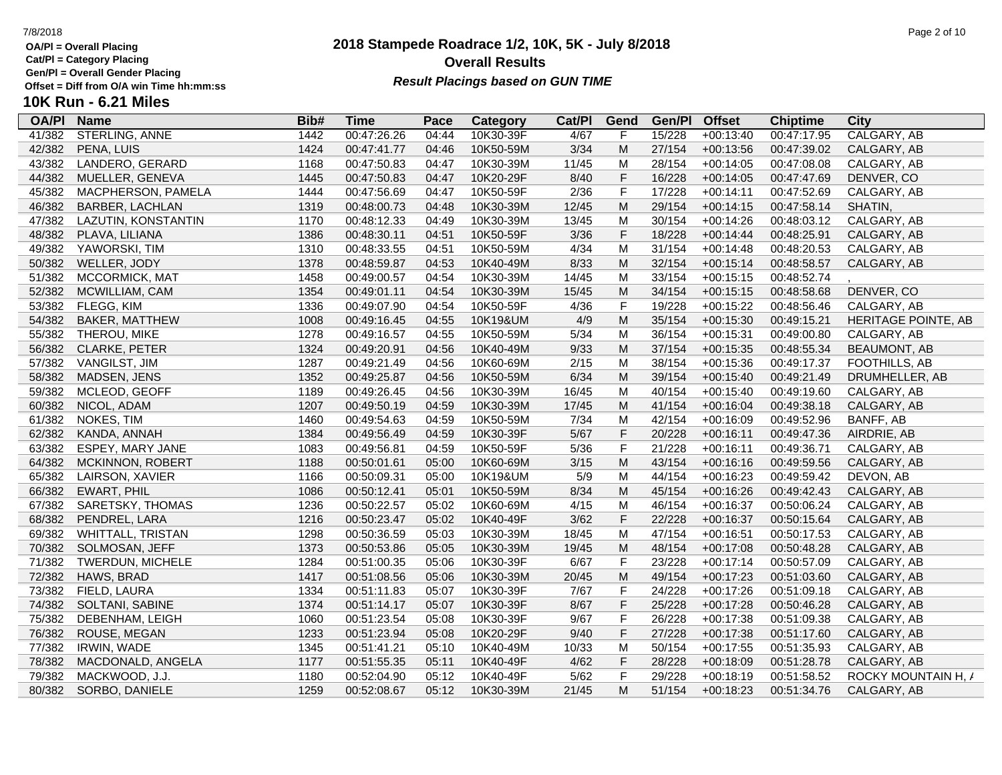**Cat/Pl = Category Placing**

**Gen/Pl = Overall Gender Placing**

# **10K Run - 6.21 Miles**

| <b>OA/PI</b> | <b>Name</b>              | Bib# | <b>Time</b> | Pace  | Category  | Cat/PI | Gend        | Gen/Pl | <b>Offset</b> | <b>Chiptime</b> | City                |
|--------------|--------------------------|------|-------------|-------|-----------|--------|-------------|--------|---------------|-----------------|---------------------|
| 41/382       | <b>STERLING, ANNE</b>    | 1442 | 00:47:26.26 | 04:44 | 10K30-39F | 4/67   | F           | 15/228 | $+00:13:40$   | 00:47:17.95     | CALGARY, AB         |
| 42/382       | PENA, LUIS               | 1424 | 00:47:41.77 | 04:46 | 10K50-59M | 3/34   | M           | 27/154 | $+00:13:56$   | 00:47:39.02     | CALGARY, AB         |
| 43/382       | LANDERO, GERARD          | 1168 | 00:47:50.83 | 04:47 | 10K30-39M | 11/45  | M           | 28/154 | $+00:14:05$   | 00:47:08.08     | CALGARY, AB         |
| 44/382       | MUELLER, GENEVA          | 1445 | 00:47:50.83 | 04:47 | 10K20-29F | 8/40   | $\mathsf F$ | 16/228 | $+00:14:05$   | 00:47:47.69     | DENVER, CO          |
| 45/382       | MACPHERSON, PAMELA       | 1444 | 00:47:56.69 | 04:47 | 10K50-59F | 2/36   | $\mathsf F$ | 17/228 | $+00:14:11$   | 00:47:52.69     | CALGARY, AB         |
| 46/382       | <b>BARBER, LACHLAN</b>   | 1319 | 00:48:00.73 | 04:48 | 10K30-39M | 12/45  | M           | 29/154 | $+00:14:15$   | 00:47:58.14     | SHATIN,             |
| 47/382       | LAZUTIN, KONSTANTIN      | 1170 | 00:48:12.33 | 04:49 | 10K30-39M | 13/45  | M           | 30/154 | $+00:14:26$   | 00:48:03.12     | CALGARY, AB         |
| 48/382       | PLAVA, LILIANA           | 1386 | 00:48:30.11 | 04:51 | 10K50-59F | 3/36   | $\mathsf F$ | 18/228 | $+00:14:44$   | 00:48:25.91     | CALGARY, AB         |
| 49/382       | YAWORSKI, TIM            | 1310 | 00:48:33.55 | 04:51 | 10K50-59M | 4/34   | M           | 31/154 | $+00:14:48$   | 00:48:20.53     | CALGARY, AB         |
| 50/382       | WELLER, JODY             | 1378 | 00:48:59.87 | 04:53 | 10K40-49M | 8/33   | M           | 32/154 | $+00:15:14$   | 00:48:58.57     | CALGARY, AB         |
| 51/382       | MCCORMICK, MAT           | 1458 | 00:49:00.57 | 04:54 | 10K30-39M | 14/45  | M           | 33/154 | $+00:15:15$   | 00:48:52.74     |                     |
| 52/382       | MCWILLIAM, CAM           | 1354 | 00:49:01.11 | 04:54 | 10K30-39M | 15/45  | M           | 34/154 | $+00:15:15$   | 00:48:58.68     | DENVER, CO          |
| 53/382       | FLEGG, KIM               | 1336 | 00:49:07.90 | 04:54 | 10K50-59F | 4/36   | $\mathsf F$ | 19/228 | $+00:15:22$   | 00:48:56.46     | CALGARY, AB         |
| 54/382       | <b>BAKER, MATTHEW</b>    | 1008 | 00:49:16.45 | 04:55 | 10K19&UM  | 4/9    | M           | 35/154 | $+00:15:30$   | 00:49:15.21     | HERITAGE POINTE, AB |
| 55/382       | THEROU, MIKE             | 1278 | 00:49:16.57 | 04:55 | 10K50-59M | 5/34   | M           | 36/154 | $+00:15:31$   | 00:49:00.80     | CALGARY, AB         |
| 56/382       | CLARKE, PETER            | 1324 | 00:49:20.91 | 04:56 | 10K40-49M | 9/33   | M           | 37/154 | $+00:15:35$   | 00:48:55.34     | <b>BEAUMONT, AB</b> |
| 57/382       | VANGILST, JIM            | 1287 | 00:49:21.49 | 04:56 | 10K60-69M | 2/15   | M           | 38/154 | $+00:15:36$   | 00:49:17.37     | FOOTHILLS, AB       |
| 58/382       | MADSEN, JENS             | 1352 | 00:49:25.87 | 04:56 | 10K50-59M | 6/34   | M           | 39/154 | $+00:15:40$   | 00:49:21.49     | DRUMHELLER, AB      |
| 59/382       | MCLEOD, GEOFF            | 1189 | 00:49:26.45 | 04:56 | 10K30-39M | 16/45  | M           | 40/154 | $+00:15:40$   | 00:49:19.60     | CALGARY, AB         |
| 60/382       | NICOL, ADAM              | 1207 | 00:49:50.19 | 04:59 | 10K30-39M | 17/45  | M           | 41/154 | $+00:16:04$   | 00:49:38.18     | CALGARY, AB         |
| 61/382       | NOKES, TIM               | 1460 | 00:49:54.63 | 04:59 | 10K50-59M | 7/34   | M           | 42/154 | $+00:16:09$   | 00:49:52.96     | BANFF, AB           |
| 62/382       | KANDA, ANNAH             | 1384 | 00:49:56.49 | 04:59 | 10K30-39F | $5/67$ | $\mathsf F$ | 20/228 | $+00:16:11$   | 00:49:47.36     | AIRDRIE, AB         |
| 63/382       | ESPEY, MARY JANE         | 1083 | 00:49:56.81 | 04:59 | 10K50-59F | 5/36   | $\mathsf F$ | 21/228 | $+00:16:11$   | 00:49:36.71     | CALGARY, AB         |
| 64/382       | MCKINNON, ROBERT         | 1188 | 00:50:01.61 | 05:00 | 10K60-69M | 3/15   | M           | 43/154 | $+00:16:16$   | 00:49:59.56     | CALGARY, AB         |
| 65/382       | LAIRSON, XAVIER          | 1166 | 00:50:09.31 | 05:00 | 10K19&UM  | 5/9    | M           | 44/154 | $+00:16:23$   | 00:49:59.42     | DEVON, AB           |
| 66/382       | <b>EWART, PHIL</b>       | 1086 | 00:50:12.41 | 05:01 | 10K50-59M | 8/34   | M           | 45/154 | $+00:16:26$   | 00:49:42.43     | CALGARY, AB         |
| 67/382       | SARETSKY, THOMAS         | 1236 | 00:50:22.57 | 05:02 | 10K60-69M | 4/15   | M           | 46/154 | $+00:16:37$   | 00:50:06.24     | CALGARY, AB         |
| 68/382       | PENDREL, LARA            | 1216 | 00:50:23.47 | 05:02 | 10K40-49F | 3/62   | $\mathsf F$ | 22/228 | $+00:16:37$   | 00:50:15.64     | CALGARY, AB         |
| 69/382       | <b>WHITTALL, TRISTAN</b> | 1298 | 00:50:36.59 | 05:03 | 10K30-39M | 18/45  | M           | 47/154 | $+00:16:51$   | 00:50:17.53     | CALGARY, AB         |
| 70/382       | SOLMOSAN, JEFF           | 1373 | 00:50:53.86 | 05:05 | 10K30-39M | 19/45  | M           | 48/154 | $+00:17:08$   | 00:50:48.28     | CALGARY, AB         |
| 71/382       | TWERDUN, MICHELE         | 1284 | 00:51:00.35 | 05:06 | 10K30-39F | 6/67   | $\mathsf F$ | 23/228 | $+00:17:14$   | 00:50:57.09     | CALGARY, AB         |
| 72/382       | HAWS, BRAD               | 1417 | 00:51:08.56 | 05:06 | 10K30-39M | 20/45  | M           | 49/154 | $+00:17:23$   | 00:51:03.60     | CALGARY, AB         |
| 73/382       | FIELD, LAURA             | 1334 | 00:51:11.83 | 05:07 | 10K30-39F | 7/67   | $\mathsf F$ | 24/228 | $+00:17:26$   | 00:51:09.18     | CALGARY, AB         |
| 74/382       | SOLTANI, SABINE          | 1374 | 00:51:14.17 | 05:07 | 10K30-39F | 8/67   | $\mathsf F$ | 25/228 | $+00:17:28$   | 00:50:46.28     | CALGARY, AB         |
| 75/382       | DEBENHAM, LEIGH          | 1060 | 00:51:23.54 | 05:08 | 10K30-39F | 9/67   | $\mathsf F$ | 26/228 | $+00:17:38$   | 00:51:09.38     | CALGARY, AB         |
| 76/382       | ROUSE, MEGAN             | 1233 | 00:51:23.94 | 05:08 | 10K20-29F | 9/40   | $\mathsf F$ | 27/228 | $+00:17:38$   | 00:51:17.60     | CALGARY, AB         |
| 77/382       | IRWIN, WADE              | 1345 | 00:51:41.21 | 05:10 | 10K40-49M | 10/33  | M           | 50/154 | $+00:17:55$   | 00:51:35.93     | CALGARY, AB         |
| 78/382       | MACDONALD, ANGELA        | 1177 | 00:51:55.35 | 05:11 | 10K40-49F | 4/62   | $\mathsf F$ | 28/228 | $+00:18:09$   | 00:51:28.78     | CALGARY, AB         |
| 79/382       | MACKWOOD, J.J.           | 1180 | 00:52:04.90 | 05:12 | 10K40-49F | 5/62   | $\mathsf F$ | 29/228 | $+00:18:19$   | 00:51:58.52     | ROCKY MOUNTAIN H, / |
| 80/382       | SORBO, DANIELE           | 1259 | 00:52:08.67 | 05:12 | 10K30-39M | 21/45  | M           | 51/154 | $+00:18:23$   | 00:51:34.76     | CALGARY, AB         |

## **2018 Stampede Roadrace 1/2, 10K, 5K - July 8/2018** 7/8/2018 Page 2 of 10 **Overall Results Result Placings based on GUN TIME**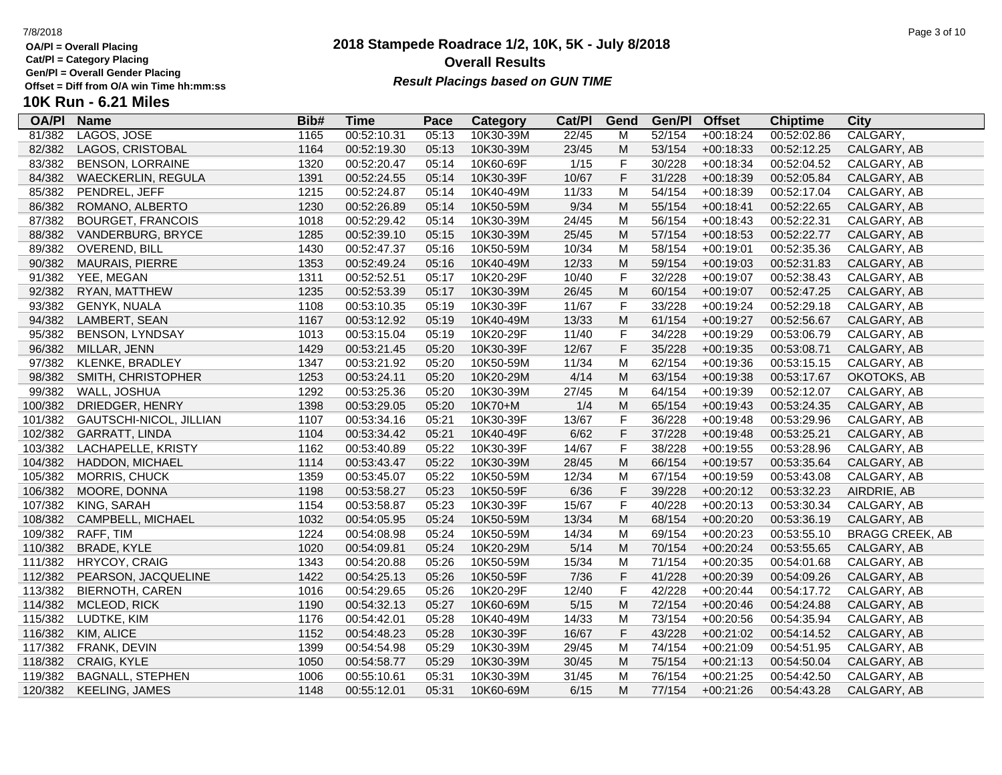**Cat/Pl = Category Placing**

**Gen/Pl = Overall Gender Placing**

# **2018 Stampede Roadrace 1/2, 10K, 5K - July 8/2018** 7/8/2018 Page 3 of 10 **Overall Results** Gen/PI = Overall Gender Placing<br>Offset = Diff from O/A win Time hh:mm:ss *Result Placings based on GUN TIME*

| <b>OA/PI</b> | <b>Name</b>               | Bib# | <b>Time</b> | Pace  | <b>Category</b> | Cat/PI | Gend        | Gen/Pl | <b>Offset</b> | <b>Chiptime</b> | City                   |
|--------------|---------------------------|------|-------------|-------|-----------------|--------|-------------|--------|---------------|-----------------|------------------------|
| 81/382       | LAGOS, JOSE               | 1165 | 00:52:10.31 | 05:13 | 10K30-39M       | 22/45  | M           | 52/154 | $+00:18:24$   | 00:52:02.86     | CALGARY,               |
| 82/382       | LAGOS, CRISTOBAL          | 1164 | 00:52:19.30 | 05:13 | 10K30-39M       | 23/45  | M           | 53/154 | $+00:18:33$   | 00:52:12.25     | CALGARY, AB            |
| 83/382       | <b>BENSON, LORRAINE</b>   | 1320 | 00:52:20.47 | 05:14 | 10K60-69F       | 1/15   | F           | 30/228 | $+00:18:34$   | 00:52:04.52     | CALGARY, AB            |
| 84/382       | <b>WAECKERLIN, REGULA</b> | 1391 | 00:52:24.55 | 05:14 | 10K30-39F       | 10/67  | $\mathsf F$ | 31/228 | $+00:18:39$   | 00:52:05.84     | CALGARY, AB            |
| 85/382       | PENDREL, JEFF             | 1215 | 00:52:24.87 | 05:14 | 10K40-49M       | 11/33  | M           | 54/154 | $+00:18:39$   | 00:52:17.04     | CALGARY, AB            |
| 86/382       | ROMANO, ALBERTO           | 1230 | 00:52:26.89 | 05:14 | 10K50-59M       | 9/34   | M           | 55/154 | $+00:18:41$   | 00:52:22.65     | CALGARY, AB            |
| 87/382       | <b>BOURGET, FRANCOIS</b>  | 1018 | 00:52:29.42 | 05:14 | 10K30-39M       | 24/45  | M           | 56/154 | $+00:18:43$   | 00:52:22.31     | CALGARY, AB            |
| 88/382       | VANDERBURG, BRYCE         | 1285 | 00:52:39.10 | 05:15 | 10K30-39M       | 25/45  | M           | 57/154 | $+00:18:53$   | 00:52:22.77     | CALGARY, AB            |
| 89/382       | <b>OVEREND, BILL</b>      | 1430 | 00:52:47.37 | 05:16 | 10K50-59M       | 10/34  | M           | 58/154 | $+00:19:01$   | 00:52:35.36     | CALGARY, AB            |
| 90/382       | <b>MAURAIS, PIERRE</b>    | 1353 | 00:52:49.24 | 05:16 | 10K40-49M       | 12/33  | M           | 59/154 | $+00:19:03$   | 00:52:31.83     | CALGARY, AB            |
| 91/382       | YEE, MEGAN                | 1311 | 00:52:52.51 | 05:17 | 10K20-29F       | 10/40  | $\mathsf F$ | 32/228 | $+00:19:07$   | 00:52:38.43     | CALGARY, AB            |
| 92/382       | RYAN, MATTHEW             | 1235 | 00:52:53.39 | 05:17 | 10K30-39M       | 26/45  | ${\sf M}$   | 60/154 | $+00:19:07$   | 00:52:47.25     | CALGARY, AB            |
| 93/382       | <b>GENYK, NUALA</b>       | 1108 | 00:53:10.35 | 05:19 | 10K30-39F       | 11/67  | F           | 33/228 | $+00:19:24$   | 00:52:29.18     | CALGARY, AB            |
| 94/382       | LAMBERT, SEAN             | 1167 | 00:53:12.92 | 05:19 | 10K40-49M       | 13/33  | M           | 61/154 | $+00:19:27$   | 00:52:56.67     | CALGARY, AB            |
| 95/382       | <b>BENSON, LYNDSAY</b>    | 1013 | 00:53:15.04 | 05:19 | 10K20-29F       | 11/40  | $\mathsf F$ | 34/228 | $+00:19:29$   | 00:53:06.79     | CALGARY, AB            |
| 96/382       | MILLAR, JENN              | 1429 | 00:53:21.45 | 05:20 | 10K30-39F       | 12/67  | $\mathsf F$ | 35/228 | $+00:19:35$   | 00:53:08.71     | CALGARY, AB            |
| 97/382       | KLENKE, BRADLEY           | 1347 | 00:53:21.92 | 05:20 | 10K50-59M       | 11/34  | M           | 62/154 | $+00:19:36$   | 00:53:15.15     | CALGARY, AB            |
| 98/382       | SMITH, CHRISTOPHER        | 1253 | 00:53:24.11 | 05:20 | 10K20-29M       | 4/14   | M           | 63/154 | $+00:19:38$   | 00:53:17.67     | OKOTOKS, AB            |
| 99/382       | WALL, JOSHUA              | 1292 | 00:53:25.36 | 05:20 | 10K30-39M       | 27/45  | M           | 64/154 | $+00:19:39$   | 00:52:12.07     | CALGARY, AB            |
| 100/382      | DRIEDGER, HENRY           | 1398 | 00:53:29.05 | 05:20 | 10K70+M         | 1/4    | M           | 65/154 | $+00:19:43$   | 00:53:24.35     | CALGARY, AB            |
| 101/382      | GAUTSCHI-NICOL, JILLIAN   | 1107 | 00:53:34.16 | 05:21 | 10K30-39F       | 13/67  | F           | 36/228 | $+00:19:48$   | 00:53:29.96     | CALGARY, AB            |
| 102/382      | <b>GARRATT, LINDA</b>     | 1104 | 00:53:34.42 | 05:21 | 10K40-49F       | 6/62   | $\mathsf F$ | 37/228 | $+00:19:48$   | 00:53:25.21     | CALGARY, AB            |
| 103/382      | LACHAPELLE, KRISTY        | 1162 | 00:53:40.89 | 05:22 | 10K30-39F       | 14/67  | $\mathsf F$ | 38/228 | $+00:19:55$   | 00:53:28.96     | CALGARY, AB            |
| 104/382      | HADDON, MICHAEL           | 1114 | 00:53:43.47 | 05:22 | 10K30-39M       | 28/45  | M           | 66/154 | $+00:19:57$   | 00:53:35.64     | CALGARY, AB            |
| 105/382      | MORRIS, CHUCK             | 1359 | 00:53:45.07 | 05:22 | 10K50-59M       | 12/34  | M           | 67/154 | $+00:19:59$   | 00:53:43.08     | CALGARY, AB            |
| 106/382      | MOORE, DONNA              | 1198 | 00:53:58.27 | 05:23 | 10K50-59F       | 6/36   | $\mathsf F$ | 39/228 | $+00:20:12$   | 00:53:32.23     | AIRDRIE, AB            |
| 107/382      | KING, SARAH               | 1154 | 00:53:58.87 | 05:23 | 10K30-39F       | 15/67  | $\mathsf F$ | 40/228 | $+00:20:13$   | 00:53:30.34     | CALGARY, AB            |
| 108/382      | CAMPBELL, MICHAEL         | 1032 | 00:54:05.95 | 05:24 | 10K50-59M       | 13/34  | M           | 68/154 | $+00:20:20$   | 00:53:36.19     | CALGARY, AB            |
| 109/382      | RAFF, TIM                 | 1224 | 00:54:08.98 | 05:24 | 10K50-59M       | 14/34  | M           | 69/154 | $+00:20:23$   | 00:53:55.10     | <b>BRAGG CREEK, AB</b> |
| 110/382      | <b>BRADE, KYLE</b>        | 1020 | 00:54:09.81 | 05:24 | 10K20-29M       | 5/14   | M           | 70/154 | $+00:20:24$   | 00:53:55.65     | CALGARY, AB            |
| 111/382      | <b>HRYCOY, CRAIG</b>      | 1343 | 00:54:20.88 | 05:26 | 10K50-59M       | 15/34  | M           | 71/154 | $+00:20:35$   | 00:54:01.68     | CALGARY, AB            |
| 112/382      | PEARSON, JACQUELINE       | 1422 | 00:54:25.13 | 05:26 | 10K50-59F       | 7/36   | $\mathsf F$ | 41/228 | $+00:20:39$   | 00:54:09.26     | CALGARY, AB            |
| 113/382      | <b>BIERNOTH, CAREN</b>    | 1016 | 00:54:29.65 | 05:26 | 10K20-29F       | 12/40  | $\mathsf F$ | 42/228 | $+00:20:44$   | 00:54:17.72     | CALGARY, AB            |
| 114/382      | MCLEOD, RICK              | 1190 | 00:54:32.13 | 05:27 | 10K60-69M       | $5/15$ | M           | 72/154 | $+00:20:46$   | 00:54:24.88     | CALGARY, AB            |
| 115/382      | LUDTKE, KIM               | 1176 | 00:54:42.01 | 05:28 | 10K40-49M       | 14/33  | M           | 73/154 | $+00:20:56$   | 00:54:35.94     | CALGARY, AB            |
| 116/382      | KIM, ALICE                | 1152 | 00:54:48.23 | 05:28 | 10K30-39F       | 16/67  | $\mathsf F$ | 43/228 | $+00:21:02$   | 00:54:14.52     | CALGARY, AB            |
| 117/382      | FRANK, DEVIN              | 1399 | 00:54:54.98 | 05:29 | 10K30-39M       | 29/45  | M           | 74/154 | $+00:21:09$   | 00:54:51.95     | CALGARY, AB            |
| 118/382      | CRAIG, KYLE               | 1050 | 00:54:58.77 | 05:29 | 10K30-39M       | 30/45  | M           | 75/154 | $+00:21:13$   | 00:54:50.04     | CALGARY, AB            |
| 119/382      | <b>BAGNALL, STEPHEN</b>   | 1006 | 00:55:10.61 | 05:31 | 10K30-39M       | 31/45  | M           | 76/154 | $+00:21:25$   | 00:54:42.50     | CALGARY, AB            |
| 120/382      | <b>KEELING, JAMES</b>     | 1148 | 00:55:12.01 | 05:31 | 10K60-69M       | 6/15   | М           | 77/154 | $+00:21:26$   | 00:54:43.28     | CALGARY, AB            |
|              |                           |      |             |       |                 |        |             |        |               |                 |                        |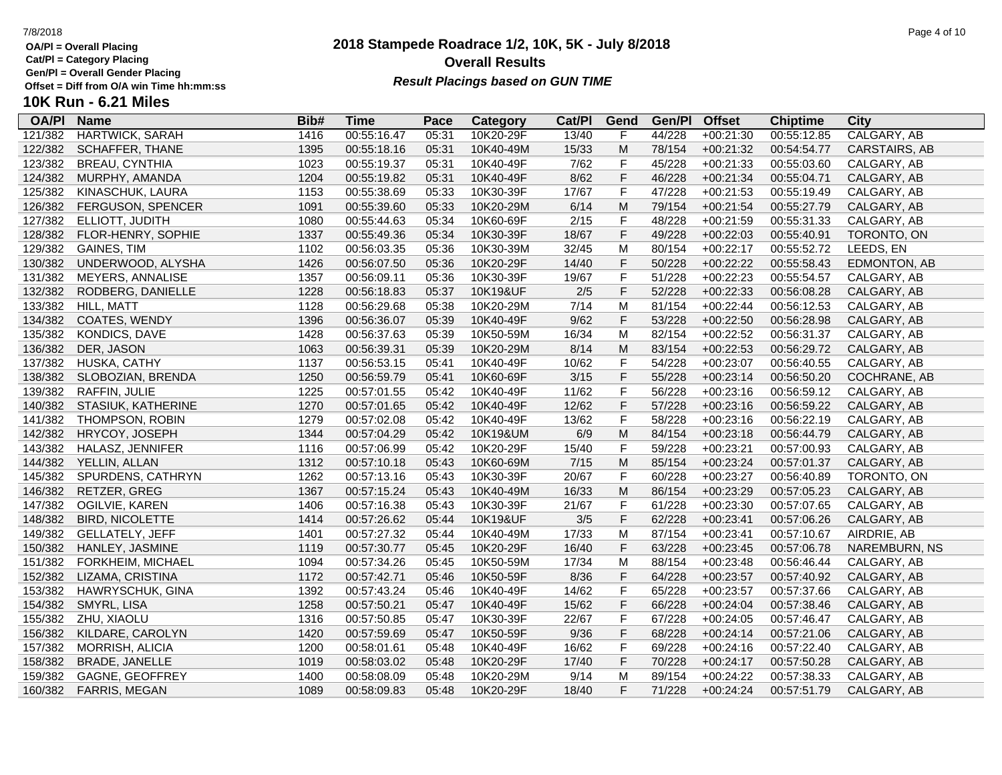**Cat/Pl = Category Placing**

**Gen/Pl = Overall Gender Placing**

## **2018 Stampede Roadrace 1/2, 10K, 5K - July 8/2018** 7/8/2018 Page 4 of 10 **Overall Results Result Placings based on GUN TIME**

| <b>OA/PI</b> | <b>Name</b>            | Bib# | Time        | Pace  | Category  | Cat/PI | Gend        | Gen/Pl | <b>Offset</b> | <b>Chiptime</b> | City          |
|--------------|------------------------|------|-------------|-------|-----------|--------|-------------|--------|---------------|-----------------|---------------|
| 121/382      | <b>HARTWICK, SARAH</b> | 1416 | 00:55:16.47 | 05:31 | 10K20-29F | 13/40  | F           | 44/228 | $+00:21:30$   | 00:55:12.85     | CALGARY, AB   |
| 122/382      | <b>SCHAFFER, THANE</b> | 1395 | 00:55:18.16 | 05:31 | 10K40-49M | 15/33  | M           | 78/154 | $+00:21:32$   | 00:54:54.77     | CARSTAIRS, AB |
| 123/382      | <b>BREAU, CYNTHIA</b>  | 1023 | 00:55:19.37 | 05:31 | 10K40-49F | 7/62   | F           | 45/228 | $+00:21:33$   | 00:55:03.60     | CALGARY, AB   |
| 124/382      | MURPHY, AMANDA         | 1204 | 00:55:19.82 | 05:31 | 10K40-49F | 8/62   | F           | 46/228 | $+00:21:34$   | 00:55:04.71     | CALGARY, AB   |
| 125/382      | KINASCHUK, LAURA       | 1153 | 00:55:38.69 | 05:33 | 10K30-39F | 17/67  | F           | 47/228 | $+00:21:53$   | 00:55:19.49     | CALGARY, AB   |
| 126/382      | FERGUSON, SPENCER      | 1091 | 00:55:39.60 | 05:33 | 10K20-29M | 6/14   | M           | 79/154 | $+00:21:54$   | 00:55:27.79     | CALGARY, AB   |
| 127/382      | ELLIOTT, JUDITH        | 1080 | 00:55:44.63 | 05:34 | 10K60-69F | 2/15   | F           | 48/228 | $+00:21:59$   | 00:55:31.33     | CALGARY, AB   |
| 128/382      | FLOR-HENRY, SOPHIE     | 1337 | 00:55:49.36 | 05:34 | 10K30-39F | 18/67  | F           | 49/228 | $+00:22:03$   | 00:55:40.91     | TORONTO, ON   |
| 129/382      | <b>GAINES, TIM</b>     | 1102 | 00:56:03.35 | 05:36 | 10K30-39M | 32/45  | M           | 80/154 | $+00:22:17$   | 00:55:52.72     | LEEDS, EN     |
| 130/382      | UNDERWOOD, ALYSHA      | 1426 | 00:56:07.50 | 05:36 | 10K20-29F | 14/40  | $\mathsf F$ | 50/228 | $+00:22:22$   | 00:55:58.43     | EDMONTON, AB  |
| 131/382      | MEYERS, ANNALISE       | 1357 | 00:56:09.11 | 05:36 | 10K30-39F | 19/67  | F           | 51/228 | $+00:22:23$   | 00:55:54.57     | CALGARY, AB   |
| 132/382      | RODBERG, DANIELLE      | 1228 | 00:56:18.83 | 05:37 | 10K19&UF  | $2/5$  | F           | 52/228 | $+00:22:33$   | 00:56:08.28     | CALGARY, AB   |
| 133/382      | HILL, MATT             | 1128 | 00:56:29.68 | 05:38 | 10K20-29M | 7/14   | M           | 81/154 | $+00:22:44$   | 00:56:12.53     | CALGARY, AB   |
| 134/382      | COATES, WENDY          | 1396 | 00:56:36.07 | 05:39 | 10K40-49F | 9/62   | F           | 53/228 | $+00:22:50$   | 00:56:28.98     | CALGARY, AB   |
| 135/382      | <b>KONDICS, DAVE</b>   | 1428 | 00:56:37.63 | 05:39 | 10K50-59M | 16/34  | M           | 82/154 | $+00:22:52$   | 00:56:31.37     | CALGARY, AB   |
| 136/382      | DER, JASON             | 1063 | 00:56:39.31 | 05:39 | 10K20-29M | 8/14   | M           | 83/154 | $+00:22:53$   | 00:56:29.72     | CALGARY, AB   |
| 137/382      | HUSKA, CATHY           | 1137 | 00:56:53.15 | 05:41 | 10K40-49F | 10/62  | F           | 54/228 | $+00:23:07$   | 00:56:40.55     | CALGARY, AB   |
| 138/382      | SLOBOZIAN, BRENDA      | 1250 | 00:56:59.79 | 05:41 | 10K60-69F | 3/15   | F           | 55/228 | $+00:23:14$   | 00:56:50.20     | COCHRANE, AB  |
| 139/382      | RAFFIN, JULIE          | 1225 | 00:57:01.55 | 05:42 | 10K40-49F | 11/62  | $\mathsf F$ | 56/228 | $+00:23:16$   | 00:56:59.12     | CALGARY, AB   |
| 140/382      | STASIUK, KATHERINE     | 1270 | 00:57:01.65 | 05:42 | 10K40-49F | 12/62  | $\mathsf F$ | 57/228 | $+00:23:16$   | 00:56:59.22     | CALGARY, AB   |
| 141/382      | <b>THOMPSON, ROBIN</b> | 1279 | 00:57:02.08 | 05:42 | 10K40-49F | 13/62  | F           | 58/228 | $+00:23:16$   | 00:56:22.19     | CALGARY, AB   |
| 142/382      | HRYCOY, JOSEPH         | 1344 | 00:57:04.29 | 05:42 | 10K19&UM  | 6/9    | M           | 84/154 | $+00:23:18$   | 00:56:44.79     | CALGARY, AB   |
| 143/382      | HALASZ, JENNIFER       | 1116 | 00:57:06.99 | 05:42 | 10K20-29F | 15/40  | $\mathsf F$ | 59/228 | $+00:23:21$   | 00:57:00.93     | CALGARY, AB   |
| 144/382      | YELLIN, ALLAN          | 1312 | 00:57:10.18 | 05:43 | 10K60-69M | $7/15$ | ${\sf M}$   | 85/154 | $+00:23:24$   | 00:57:01.37     | CALGARY, AB   |
| 145/382      | SPURDENS, CATHRYN      | 1262 | 00:57:13.16 | 05:43 | 10K30-39F | 20/67  | $\mathsf F$ | 60/228 | $+00:23:27$   | 00:56:40.89     | TORONTO, ON   |
| 146/382      | RETZER, GREG           | 1367 | 00:57:15.24 | 05:43 | 10K40-49M | 16/33  | ${\sf M}$   | 86/154 | $+00:23:29$   | 00:57:05.23     | CALGARY, AB   |
| 147/382      | OGILVIE, KAREN         | 1406 | 00:57:16.38 | 05:43 | 10K30-39F | 21/67  | F           | 61/228 | $+00:23:30$   | 00:57:07.65     | CALGARY, AB   |
| 148/382      | <b>BIRD, NICOLETTE</b> | 1414 | 00:57:26.62 | 05:44 | 10K19&UF  | 3/5    | F           | 62/228 | $+00:23:41$   | 00:57:06.26     | CALGARY, AB   |
| 149/382      | GELLATELY, JEFF        | 1401 | 00:57:27.32 | 05:44 | 10K40-49M | 17/33  | M           | 87/154 | $+00:23:41$   | 00:57:10.67     | AIRDRIE, AB   |
| 150/382      | HANLEY, JASMINE        | 1119 | 00:57:30.77 | 05:45 | 10K20-29F | 16/40  | $\mathsf F$ | 63/228 | $+00:23:45$   | 00:57:06.78     | NAREMBURN, NS |
| 151/382      | FORKHEIM, MICHAEL      | 1094 | 00:57:34.26 | 05:45 | 10K50-59M | 17/34  | M           | 88/154 | $+00:23:48$   | 00:56:46.44     | CALGARY, AB   |
| 152/382      | LIZAMA, CRISTINA       | 1172 | 00:57:42.71 | 05:46 | 10K50-59F | 8/36   | $\mathsf F$ | 64/228 | $+00:23:57$   | 00:57:40.92     | CALGARY, AB   |
| 153/382      | HAWRYSCHUK, GINA       | 1392 | 00:57:43.24 | 05:46 | 10K40-49F | 14/62  | F           | 65/228 | $+00:23:57$   | 00:57:37.66     | CALGARY, AB   |
| 154/382      | SMYRL, LISA            | 1258 | 00:57:50.21 | 05:47 | 10K40-49F | 15/62  | F           | 66/228 | $+00:24:04$   | 00:57:38.46     | CALGARY, AB   |
| 155/382      | ZHU, XIAOLU            | 1316 | 00:57:50.85 | 05:47 | 10K30-39F | 22/67  | F           | 67/228 | $+00:24:05$   | 00:57:46.47     | CALGARY, AB   |
| 156/382      | KILDARE, CAROLYN       | 1420 | 00:57:59.69 | 05:47 | 10K50-59F | 9/36   | F           | 68/228 | $+00:24:14$   | 00:57:21.06     | CALGARY, AB   |
| 157/382      | MORRISH, ALICIA        | 1200 | 00:58:01.61 | 05:48 | 10K40-49F | 16/62  | F           | 69/228 | $+00:24:16$   | 00:57:22.40     | CALGARY, AB   |
| 158/382      | <b>BRADE, JANELLE</b>  | 1019 | 00:58:03.02 | 05:48 | 10K20-29F | 17/40  | F           | 70/228 | $+00:24:17$   | 00:57:50.28     | CALGARY, AB   |
| 159/382      | GAGNE, GEOFFREY        | 1400 | 00:58:08.09 | 05:48 | 10K20-29M | 9/14   | M           | 89/154 | $+00:24:22$   | 00:57:38.33     | CALGARY, AB   |
| 160/382      | <b>FARRIS, MEGAN</b>   | 1089 | 00:58:09.83 | 05:48 | 10K20-29F | 18/40  | F.          | 71/228 | $+00:24:24$   | 00:57:51.79     | CALGARY, AB   |
|              |                        |      |             |       |           |        |             |        |               |                 |               |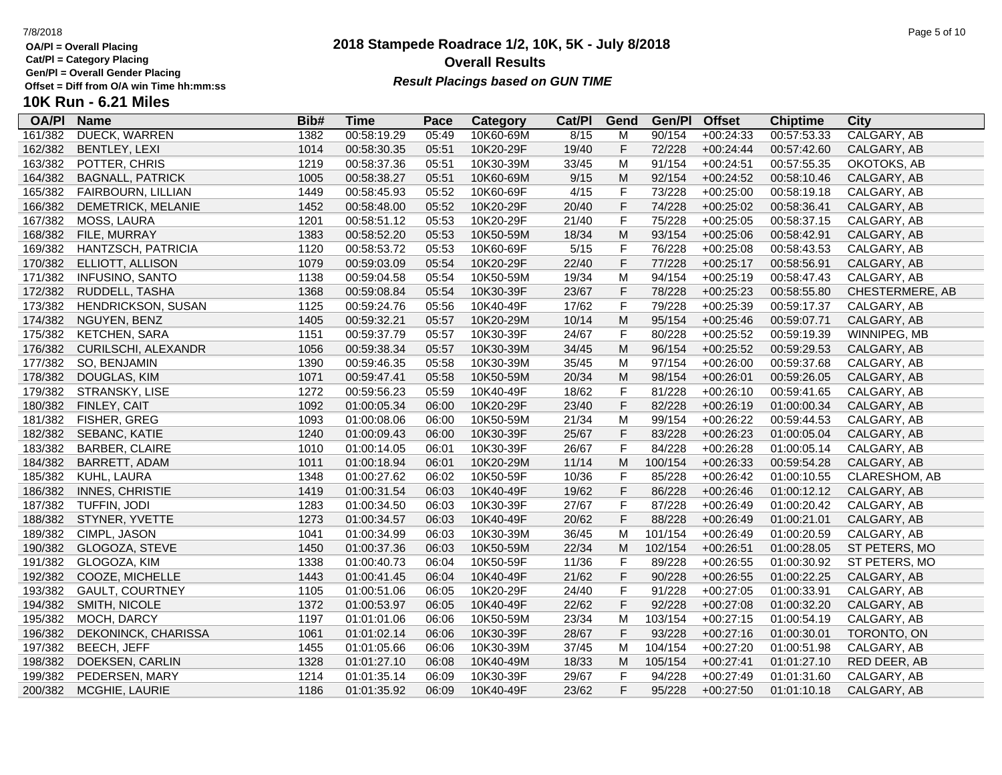**Cat/Pl = Category Placing**

**Gen/Pl = Overall Gender Placing**

## **2018 Stampede Roadrace 1/2, 10K, 5K - July 8/2018** 7/8/2018 Page 5 of 10 **Overall Results Result Placings based on GUN TIME**

| <b>OA/PI</b> | <b>Name</b>             | Bib# | Time        | Pace  | Category  | Cat/PI | Gend        | Gen/Pl  | <b>Offset</b> | <b>Chiptime</b> | City            |
|--------------|-------------------------|------|-------------|-------|-----------|--------|-------------|---------|---------------|-----------------|-----------------|
| 161/382      | <b>DUECK, WARREN</b>    | 1382 | 00:58:19.29 | 05:49 | 10K60-69M | 8/15   | м           | 90/154  | $+00:24:33$   | 00:57:53.33     | CALGARY, AB     |
| 162/382      | BENTLEY, LEXI           | 1014 | 00:58:30.35 | 05:51 | 10K20-29F | 19/40  | F           | 72/228  | $+00:24:44$   | 00:57:42.60     | CALGARY, AB     |
| 163/382      | POTTER, CHRIS           | 1219 | 00:58:37.36 | 05:51 | 10K30-39M | 33/45  | M           | 91/154  | $+00:24:51$   | 00:57:55.35     | OKOTOKS, AB     |
| 164/382      | <b>BAGNALL, PATRICK</b> | 1005 | 00:58:38.27 | 05:51 | 10K60-69M | 9/15   | ${\sf M}$   | 92/154  | $+00:24:52$   | 00:58:10.46     | CALGARY, AB     |
| 165/382      | FAIRBOURN, LILLIAN      | 1449 | 00:58:45.93 | 05:52 | 10K60-69F | 4/15   | F           | 73/228  | $+00:25:00$   | 00:58:19.18     | CALGARY, AB     |
| 166/382      | DEMETRICK, MELANIE      | 1452 | 00:58:48.00 | 05:52 | 10K20-29F | 20/40  | F           | 74/228  | $+00:25:02$   | 00:58:36.41     | CALGARY, AB     |
| 167/382      | MOSS, LAURA             | 1201 | 00:58:51.12 | 05:53 | 10K20-29F | 21/40  | $\mathsf F$ | 75/228  | $+00:25:05$   | 00:58:37.15     | CALGARY, AB     |
| 168/382      | FILE, MURRAY            | 1383 | 00:58:52.20 | 05:53 | 10K50-59M | 18/34  | ${\sf M}$   | 93/154  | $+00:25:06$   | 00:58:42.91     | CALGARY, AB     |
| 169/382      | HANTZSCH, PATRICIA      | 1120 | 00:58:53.72 | 05:53 | 10K60-69F | $5/15$ | $\mathsf F$ | 76/228  | $+00:25:08$   | 00:58:43.53     | CALGARY, AB     |
| 170/382      | ELLIOTT, ALLISON        | 1079 | 00:59:03.09 | 05:54 | 10K20-29F | 22/40  | F           | 77/228  | $+00:25:17$   | 00:58:56.91     | CALGARY, AB     |
| 171/382      | <b>INFUSINO, SANTO</b>  | 1138 | 00:59:04.58 | 05:54 | 10K50-59M | 19/34  | M           | 94/154  | $+00:25:19$   | 00:58:47.43     | CALGARY, AB     |
| 172/382      | RUDDELL, TASHA          | 1368 | 00:59:08.84 | 05:54 | 10K30-39F | 23/67  | F           | 78/228  | $+00:25:23$   | 00:58:55.80     | CHESTERMERE, AB |
| 173/382      | HENDRICKSON, SUSAN      | 1125 | 00:59:24.76 | 05:56 | 10K40-49F | 17/62  | $\mathsf F$ | 79/228  | $+00:25:39$   | 00:59:17.37     | CALGARY, AB     |
| 174/382      | NGUYEN, BENZ            | 1405 | 00:59:32.21 | 05:57 | 10K20-29M | 10/14  | ${\sf M}$   | 95/154  | $+00:25:46$   | 00:59:07.71     | CALGARY, AB     |
| 175/382      | <b>KETCHEN, SARA</b>    | 1151 | 00:59:37.79 | 05:57 | 10K30-39F | 24/67  | $\mathsf F$ | 80/228  | $+00:25:52$   | 00:59:19.39     | WINNIPEG, MB    |
| 176/382      | CURILSCHI, ALEXANDR     | 1056 | 00:59:38.34 | 05:57 | 10K30-39M | 34/45  | ${\sf M}$   | 96/154  | $+00:25:52$   | 00:59:29.53     | CALGARY, AB     |
| 177/382      | SO, BENJAMIN            | 1390 | 00:59:46.35 | 05:58 | 10K30-39M | 35/45  | M           | 97/154  | $+00:26:00$   | 00:59:37.68     | CALGARY, AB     |
| 178/382      | DOUGLAS, KIM            | 1071 | 00:59:47.41 | 05:58 | 10K50-59M | 20/34  | M           | 98/154  | $+00:26:01$   | 00:59:26.05     | CALGARY, AB     |
| 179/382      | STRANSKY, LISE          | 1272 | 00:59:56.23 | 05:59 | 10K40-49F | 18/62  | F           | 81/228  | $+00:26:10$   | 00:59:41.65     | CALGARY, AB     |
| 180/382      | FINLEY, CAIT            | 1092 | 01:00:05.34 | 06:00 | 10K20-29F | 23/40  | F           | 82/228  | $+00:26:19$   | 01:00:00.34     | CALGARY, AB     |
| 181/382      | FISHER, GREG            | 1093 | 01:00:08.06 | 06:00 | 10K50-59M | 21/34  | M           | 99/154  | $+00:26:22$   | 00:59:44.53     | CALGARY, AB     |
| 182/382      | SEBANC, KATIE           | 1240 | 01:00:09.43 | 06:00 | 10K30-39F | 25/67  | $\mathsf F$ | 83/228  | $+00:26:23$   | 01:00:05.04     | CALGARY, AB     |
| 183/382      | <b>BARBER, CLAIRE</b>   | 1010 | 01:00:14.05 | 06:01 | 10K30-39F | 26/67  | F           | 84/228  | $+00:26:28$   | 01:00:05.14     | CALGARY, AB     |
| 184/382      | BARRETT, ADAM           | 1011 | 01:00:18.94 | 06:01 | 10K20-29M | 11/14  | M           | 100/154 | $+00:26:33$   | 00:59:54.28     | CALGARY, AB     |
| 185/382      | KUHL, LAURA             | 1348 | 01:00:27.62 | 06:02 | 10K50-59F | 10/36  | F           | 85/228  | $+00:26:42$   | 01:00:10.55     | CLARESHOM, AB   |
| 186/382      | <b>INNES, CHRISTIE</b>  | 1419 | 01:00:31.54 | 06:03 | 10K40-49F | 19/62  | F           | 86/228  | $+00:26:46$   | 01:00:12.12     | CALGARY, AB     |
| 187/382      | TUFFIN, JODI            | 1283 | 01:00:34.50 | 06:03 | 10K30-39F | 27/67  | $\mathsf F$ | 87/228  | $+00:26:49$   | 01:00:20.42     | CALGARY, AB     |
| 188/382      | STYNER, YVETTE          | 1273 | 01:00:34.57 | 06:03 | 10K40-49F | 20/62  | F           | 88/228  | $+00:26:49$   | 01:00:21.01     | CALGARY, AB     |
| 189/382      | CIMPL, JASON            | 1041 | 01:00:34.99 | 06:03 | 10K30-39M | 36/45  | M           | 101/154 | $+00:26:49$   | 01:00:20.59     | CALGARY, AB     |
| 190/382      | GLOGOZA, STEVE          | 1450 | 01:00:37.36 | 06:03 | 10K50-59M | 22/34  | M           | 102/154 | $+00:26:51$   | 01:00:28.05     | ST PETERS, MO   |
| 191/382      | GLOGOZA, KIM            | 1338 | 01:00:40.73 | 06:04 | 10K50-59F | 11/36  | $\mathsf F$ | 89/228  | $+00:26:55$   | 01:00:30.92     | ST PETERS, MO   |
| 192/382      | COOZE, MICHELLE         | 1443 | 01:00:41.45 | 06:04 | 10K40-49F | 21/62  | F           | 90/228  | $+00:26:55$   | 01:00:22.25     | CALGARY, AB     |
| 193/382      | <b>GAULT, COURTNEY</b>  | 1105 | 01:00:51.06 | 06:05 | 10K20-29F | 24/40  | $\mathsf F$ | 91/228  | $+00:27:05$   | 01:00:33.91     | CALGARY, AB     |
| 194/382      | SMITH, NICOLE           | 1372 | 01:00:53.97 | 06:05 | 10K40-49F | 22/62  | F           | 92/228  | $+00:27:08$   | 01:00:32.20     | CALGARY, AB     |
| 195/382      | MOCH, DARCY             | 1197 | 01:01:01.06 | 06:06 | 10K50-59M | 23/34  | M           | 103/154 | $+00:27:15$   | 01:00:54.19     | CALGARY, AB     |
| 196/382      | DEKONINCK, CHARISSA     | 1061 | 01:01:02.14 | 06:06 | 10K30-39F | 28/67  | F           | 93/228  | $+00:27:16$   | 01:00:30.01     | TORONTO, ON     |
| 197/382      | <b>BEECH, JEFF</b>      | 1455 | 01:01:05.66 | 06:06 | 10K30-39M | 37/45  | M           | 104/154 | $+00:27:20$   | 01:00:51.98     | CALGARY, AB     |
| 198/382      | DOEKSEN, CARLIN         | 1328 | 01:01:27.10 | 06:08 | 10K40-49M | 18/33  | M           | 105/154 | $+00:27:41$   | 01:01:27.10     | RED DEER, AB    |
| 199/382      | PEDERSEN, MARY          | 1214 | 01:01:35.14 | 06:09 | 10K30-39F | 29/67  | F           | 94/228  | $+00:27:49$   | 01:01:31.60     | CALGARY, AB     |
| 200/382      | MCGHIE, LAURIE          | 1186 | 01:01:35.92 | 06:09 | 10K40-49F | 23/62  | F           | 95/228  | $+00:27:50$   | 01:01:10.18     | CALGARY, AB     |
|              |                         |      |             |       |           |        |             |         |               |                 |                 |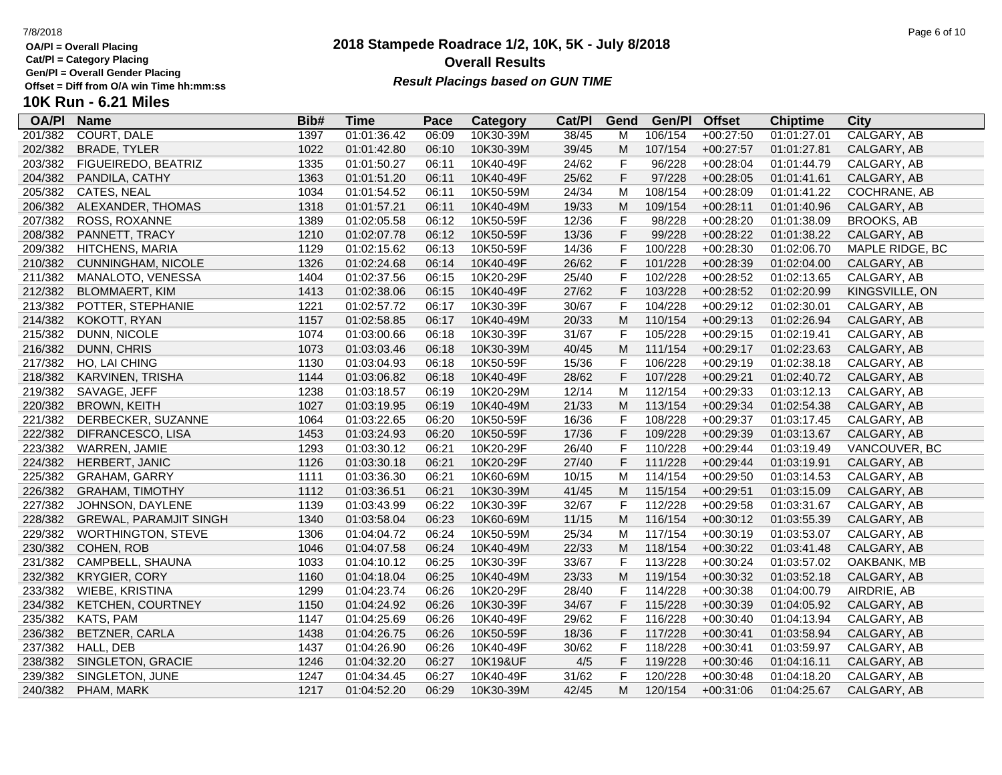**Cat/Pl = Category Placing**

**Gen/Pl = Overall Gender Placing**

## **2018 Stampede Roadrace 1/2, 10K, 5K - July 8/2018** 7/8/2018 Page 6 of 10 **Overall Results Result Placings based on GUN TIME**

| <b>OA/PI</b> | <b>Name</b>                   | Bib# | Time        | Pace  | Category  | Cat/PI | Gend      | Gen/Pl  | <b>Offset</b> | <b>Chiptime</b> | City              |
|--------------|-------------------------------|------|-------------|-------|-----------|--------|-----------|---------|---------------|-----------------|-------------------|
| 201/382      | <b>COURT, DALE</b>            | 1397 | 01:01:36.42 | 06:09 | 10K30-39M | 38/45  | м         | 106/154 | $+00:27:50$   | 01:01:27.01     | CALGARY, AB       |
| 202/382      | <b>BRADE, TYLER</b>           | 1022 | 01:01:42.80 | 06:10 | 10K30-39M | 39/45  | M         | 107/154 | $+00:27:57$   | 01:01:27.81     | CALGARY, AB       |
| 203/382      | FIGUEIREDO, BEATRIZ           | 1335 | 01:01:50.27 | 06:11 | 10K40-49F | 24/62  | F         | 96/228  | $+00:28:04$   | 01:01:44.79     | CALGARY, AB       |
| 204/382      | PANDILA, CATHY                | 1363 | 01:01:51.20 | 06:11 | 10K40-49F | 25/62  | F         | 97/228  | $+00:28:05$   | 01:01:41.61     | CALGARY, AB       |
| 205/382      | CATES, NEAL                   | 1034 | 01:01:54.52 | 06:11 | 10K50-59M | 24/34  | M         | 108/154 | $+00:28:09$   | 01:01:41.22     | COCHRANE, AB      |
| 206/382      | ALEXANDER, THOMAS             | 1318 | 01:01:57.21 | 06:11 | 10K40-49M | 19/33  | M         | 109/154 | $+00:28:11$   | 01:01:40.96     | CALGARY, AB       |
| 207/382      | ROSS, ROXANNE                 | 1389 | 01:02:05.58 | 06:12 | 10K50-59F | 12/36  | F         | 98/228  | $+00:28:20$   | 01:01:38.09     | <b>BROOKS, AB</b> |
| 208/382      | PANNETT, TRACY                | 1210 | 01:02:07.78 | 06:12 | 10K50-59F | 13/36  | F         | 99/228  | $+00:28:22$   | 01:01:38.22     | CALGARY, AB       |
| 209/382      | <b>HITCHENS, MARIA</b>        | 1129 | 01:02:15.62 | 06:13 | 10K50-59F | 14/36  | F         | 100/228 | $+00:28:30$   | 01:02:06.70     | MAPLE RIDGE, BC   |
| 210/382      | CUNNINGHAM, NICOLE            | 1326 | 01:02:24.68 | 06:14 | 10K40-49F | 26/62  | F         | 101/228 | $+00:28:39$   | 01:02:04.00     | CALGARY, AB       |
| 211/382      | MANALOTO, VENESSA             | 1404 | 01:02:37.56 | 06:15 | 10K20-29F | 25/40  | F         | 102/228 | $+00:28:52$   | 01:02:13.65     | CALGARY, AB       |
| 212/382      | BLOMMAERT, KIM                | 1413 | 01:02:38.06 | 06:15 | 10K40-49F | 27/62  | F         | 103/228 | $+00:28:52$   | 01:02:20.99     | KINGSVILLE, ON    |
| 213/382      | POTTER, STEPHANIE             | 1221 | 01:02:57.72 | 06:17 | 10K30-39F | 30/67  | F         | 104/228 | $+00:29:12$   | 01:02:30.01     | CALGARY, AB       |
| 214/382      | KOKOTT, RYAN                  | 1157 | 01:02:58.85 | 06:17 | 10K40-49M | 20/33  | ${\sf M}$ | 110/154 | $+00:29:13$   | 01:02:26.94     | CALGARY, AB       |
| 215/382      | DUNN, NICOLE                  | 1074 | 01:03:00.66 | 06:18 | 10K30-39F | 31/67  | F         | 105/228 | $+00:29:15$   | 01:02:19.41     | CALGARY, AB       |
| 216/382      | DUNN, CHRIS                   | 1073 | 01:03:03.46 | 06:18 | 10K30-39M | 40/45  | M         | 111/154 | $+00:29:17$   | 01:02:23.63     | CALGARY, AB       |
| 217/382      | HO, LAI CHING                 | 1130 | 01:03:04.93 | 06:18 | 10K50-59F | 15/36  | F         | 106/228 | $+00:29:19$   | 01:02:38.18     | CALGARY, AB       |
| 218/382      | KARVINEN, TRISHA              | 1144 | 01:03:06.82 | 06:18 | 10K40-49F | 28/62  | F         | 107/228 | $+00:29:21$   | 01:02:40.72     | CALGARY, AB       |
| 219/382      | SAVAGE, JEFF                  | 1238 | 01:03:18.57 | 06:19 | 10K20-29M | 12/14  | M         | 112/154 | $+00:29:33$   | 01:03:12.13     | CALGARY, AB       |
| 220/382      | <b>BROWN, KEITH</b>           | 1027 | 01:03:19.95 | 06:19 | 10K40-49M | 21/33  | M         | 113/154 | $+00:29:34$   | 01:02:54.38     | CALGARY, AB       |
| 221/382      | DERBECKER, SUZANNE            | 1064 | 01:03:22.65 | 06:20 | 10K50-59F | 16/36  | F         | 108/228 | $+00:29:37$   | 01:03:17.45     | CALGARY, AB       |
| 222/382      | DIFRANCESCO, LISA             | 1453 | 01:03:24.93 | 06:20 | 10K50-59F | 17/36  | F         | 109/228 | $+00:29:39$   | 01:03:13.67     | CALGARY, AB       |
| 223/382      | WARREN, JAMIE                 | 1293 | 01:03:30.12 | 06:21 | 10K20-29F | 26/40  | F         | 110/228 | $+00:29:44$   | 01:03:19.49     | VANCOUVER, BC     |
| 224/382      | HERBERT, JANIC                | 1126 | 01:03:30.18 | 06:21 | 10K20-29F | 27/40  | F         | 111/228 | $+00:29:44$   | 01:03:19.91     | CALGARY, AB       |
| 225/382      | <b>GRAHAM, GARRY</b>          | 1111 | 01:03:36.30 | 06:21 | 10K60-69M | 10/15  | M         | 114/154 | $+00:29:50$   | 01:03:14.53     | CALGARY, AB       |
| 226/382      | <b>GRAHAM, TIMOTHY</b>        | 1112 | 01:03:36.51 | 06:21 | 10K30-39M | 41/45  | M         | 115/154 | $+00:29:51$   | 01:03:15.09     | CALGARY, AB       |
| 227/382      | JOHNSON, DAYLENE              | 1139 | 01:03:43.99 | 06:22 | 10K30-39F | 32/67  | F         | 112/228 | $+00:29:58$   | 01:03:31.67     | CALGARY, AB       |
| 228/382      | <b>GREWAL, PARAMJIT SINGH</b> | 1340 | 01:03:58.04 | 06:23 | 10K60-69M | 11/15  | M         | 116/154 | $+00:30:12$   | 01:03:55.39     | CALGARY, AB       |
| 229/382      | <b>WORTHINGTON, STEVE</b>     | 1306 | 01:04:04.72 | 06:24 | 10K50-59M | 25/34  | M         | 117/154 | $+00:30:19$   | 01:03:53.07     | CALGARY, AB       |
| 230/382      | COHEN, ROB                    | 1046 | 01:04:07.58 | 06:24 | 10K40-49M | 22/33  | M         | 118/154 | $+00:30:22$   | 01:03:41.48     | CALGARY, AB       |
| 231/382      | CAMPBELL, SHAUNA              | 1033 | 01:04:10.12 | 06:25 | 10K30-39F | 33/67  | F         | 113/228 | $+00:30:24$   | 01:03:57.02     | OAKBANK, MB       |
| 232/382      | <b>KRYGIER, CORY</b>          | 1160 | 01:04:18.04 | 06:25 | 10K40-49M | 23/33  | M         | 119/154 | $+00:30:32$   | 01:03:52.18     | CALGARY, AB       |
| 233/382      | WIEBE, KRISTINA               | 1299 | 01:04:23.74 | 06:26 | 10K20-29F | 28/40  | F         | 114/228 | $+00:30:38$   | 01:04:00.79     | AIRDRIE, AB       |
| 234/382      | <b>KETCHEN, COURTNEY</b>      | 1150 | 01:04:24.92 | 06:26 | 10K30-39F | 34/67  | F         | 115/228 | $+00:30:39$   | 01:04:05.92     | CALGARY, AB       |
| 235/382      | KATS, PAM                     | 1147 | 01:04:25.69 | 06:26 | 10K40-49F | 29/62  | F         | 116/228 | $+00:30:40$   | 01:04:13.94     | CALGARY, AB       |
| 236/382      | BETZNER, CARLA                | 1438 | 01:04:26.75 | 06:26 | 10K50-59F | 18/36  | F         | 117/228 | $+00:30:41$   | 01:03:58.94     | CALGARY, AB       |
| 237/382      | HALL, DEB                     | 1437 | 01:04:26.90 | 06:26 | 10K40-49F | 30/62  | F         | 118/228 | $+00:30:41$   | 01:03:59.97     | CALGARY, AB       |
| 238/382      | SINGLETON, GRACIE             | 1246 | 01:04:32.20 | 06:27 | 10K19&UF  | 4/5    | F         | 119/228 | $+00:30:46$   | 01:04:16.11     | CALGARY, AB       |
| 239/382      | SINGLETON, JUNE               | 1247 | 01:04:34.45 | 06:27 | 10K40-49F | 31/62  | F         | 120/228 | $+00:30:48$   | 01:04:18.20     | CALGARY, AB       |
| 240/382      | PHAM, MARK                    | 1217 | 01:04:52.20 | 06:29 | 10K30-39M | 42/45  | М         | 120/154 | $+00:31:06$   | 01:04:25.67     | CALGARY, AB       |
|              |                               |      |             |       |           |        |           |         |               |                 |                   |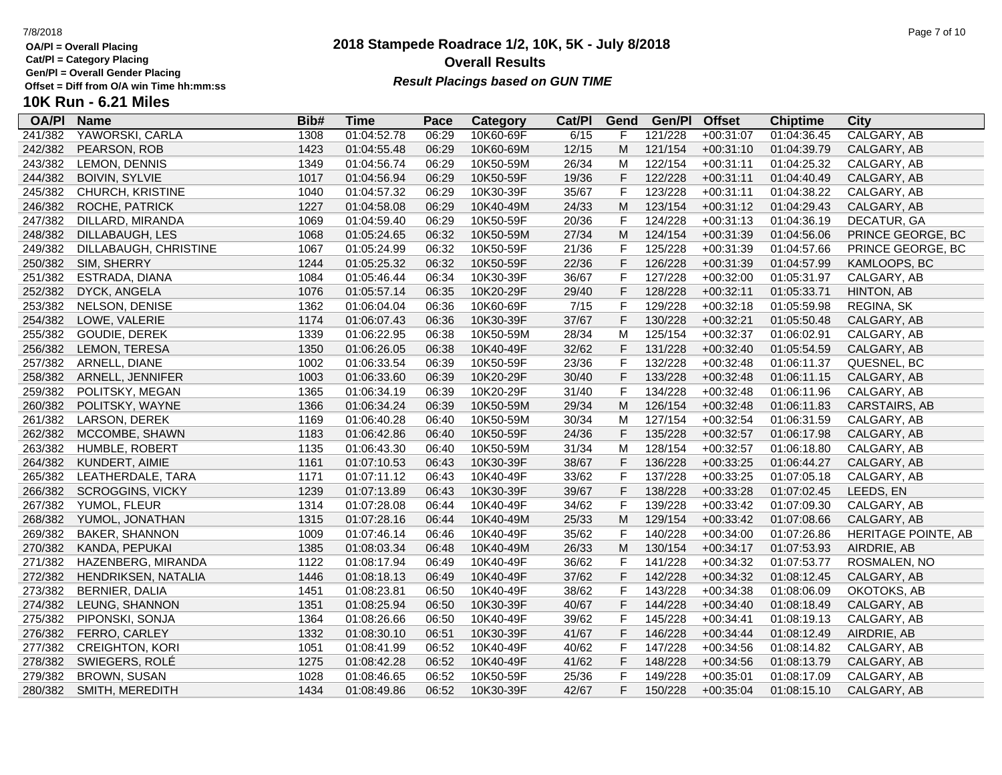**Cat/Pl = Category Placing**

**Gen/Pl = Overall Gender Placing**

## **2018 Stampede Roadrace 1/2, 10K, 5K - July 8/2018** 7/8/2018 Page 7 of 10 **Overall Results Result Placings based on GUN TIME**

| <b>OA/PI</b> | <b>Name</b>             | Bib# | Time        | Pace  | Category  | Cat/PI | Gend         | Gen/Pl  | <b>Offset</b> | <b>Chiptime</b> | City                |
|--------------|-------------------------|------|-------------|-------|-----------|--------|--------------|---------|---------------|-----------------|---------------------|
| 241/382      | YAWORSKI, CARLA         | 1308 | 01:04:52.78 | 06:29 | 10K60-69F | 6/15   |              | 121/228 | $+00:31:07$   | 01:04:36.45     | CALGARY, AB         |
| 242/382      | PEARSON, ROB            | 1423 | 01:04:55.48 | 06:29 | 10K60-69M | 12/15  | М            | 121/154 | $+00:31:10$   | 01:04:39.79     | CALGARY, AB         |
| 243/382      | LEMON, DENNIS           | 1349 | 01:04:56.74 | 06:29 | 10K50-59M | 26/34  | M            | 122/154 | $+00:31:11$   | 01:04:25.32     | CALGARY, AB         |
| 244/382      | <b>BOIVIN, SYLVIE</b>   | 1017 | 01:04:56.94 | 06:29 | 10K50-59F | 19/36  | F            | 122/228 | $+00:31:11$   | 01:04:40.49     | CALGARY, AB         |
| 245/382      | CHURCH, KRISTINE        | 1040 | 01:04:57.32 | 06:29 | 10K30-39F | 35/67  | F            | 123/228 | $+00:31:11$   | 01:04:38.22     | CALGARY, AB         |
| 246/382      | ROCHE, PATRICK          | 1227 | 01:04:58.08 | 06:29 | 10K40-49M | 24/33  | М            | 123/154 | $+00:31:12$   | 01:04:29.43     | CALGARY, AB         |
| 247/382      | DILLARD, MIRANDA        | 1069 | 01:04:59.40 | 06:29 | 10K50-59F | 20/36  | F            | 124/228 | $+00:31:13$   | 01:04:36.19     | DECATUR, GA         |
| 248/382      | DILLABAUGH, LES         | 1068 | 01:05:24.65 | 06:32 | 10K50-59M | 27/34  | M            | 124/154 | $+00:31:39$   | 01:04:56.06     | PRINCE GEORGE, BC   |
| 249/382      | DILLABAUGH, CHRISTINE   | 1067 | 01:05:24.99 | 06:32 | 10K50-59F | 21/36  | F            | 125/228 | $+00:31:39$   | 01:04:57.66     | PRINCE GEORGE, BC   |
| 250/382      | SIM, SHERRY             | 1244 | 01:05:25.32 | 06:32 | 10K50-59F | 22/36  | F            | 126/228 | $+00:31:39$   | 01:04:57.99     | KAMLOOPS, BC        |
| 251/382      | ESTRADA, DIANA          | 1084 | 01:05:46.44 | 06:34 | 10K30-39F | 36/67  | F            | 127/228 | $+00:32:00$   | 01:05:31.97     | CALGARY, AB         |
| 252/382      | DYCK, ANGELA            | 1076 | 01:05:57.14 | 06:35 | 10K20-29F | 29/40  | F            | 128/228 | $+00:32:11$   | 01:05:33.71     | HINTON, AB          |
| 253/382      | NELSON, DENISE          | 1362 | 01:06:04.04 | 06:36 | 10K60-69F | 7/15   | F            | 129/228 | $+00:32:18$   | 01:05:59.98     | REGINA, SK          |
| 254/382      | LOWE, VALERIE           | 1174 | 01:06:07.43 | 06:36 | 10K30-39F | 37/67  | F            | 130/228 | $+00:32:21$   | 01:05:50.48     | CALGARY, AB         |
| 255/382      | GOUDIE, DEREK           | 1339 | 01:06:22.95 | 06:38 | 10K50-59M | 28/34  | M            | 125/154 | $+00:32:37$   | 01:06:02.91     | CALGARY, AB         |
| 256/382      | LEMON, TERESA           | 1350 | 01:06:26.05 | 06:38 | 10K40-49F | 32/62  | F            | 131/228 | $+00:32:40$   | 01:05:54.59     | CALGARY, AB         |
| 257/382      | ARNELL, DIANE           | 1002 | 01:06:33.54 | 06:39 | 10K50-59F | 23/36  | F            | 132/228 | $+00:32:48$   | 01:06:11.37     | QUESNEL, BC         |
| 258/382      | ARNELL, JENNIFER        | 1003 | 01:06:33.60 | 06:39 | 10K20-29F | 30/40  | F            | 133/228 | $+00:32:48$   | 01:06:11.15     | CALGARY, AB         |
| 259/382      | POLITSKY, MEGAN         | 1365 | 01:06:34.19 | 06:39 | 10K20-29F | 31/40  | F            | 134/228 | $+00:32:48$   | 01:06:11.96     | CALGARY, AB         |
| 260/382      | POLITSKY, WAYNE         | 1366 | 01:06:34.24 | 06:39 | 10K50-59M | 29/34  | M            | 126/154 | $+00:32:48$   | 01:06:11.83     | CARSTAIRS, AB       |
| 261/382      | LARSON, DEREK           | 1169 | 01:06:40.28 | 06:40 | 10K50-59M | 30/34  | M            | 127/154 | $+00:32:54$   | 01:06:31.59     | CALGARY, AB         |
| 262/382      | MCCOMBE, SHAWN          | 1183 | 01:06:42.86 | 06:40 | 10K50-59F | 24/36  | F            | 135/228 | $+00:32:57$   | 01:06:17.98     | CALGARY, AB         |
| 263/382      | HUMBLE, ROBERT          | 1135 | 01:06:43.30 | 06:40 | 10K50-59M | 31/34  | м            | 128/154 | $+00:32:57$   | 01:06:18.80     | CALGARY, AB         |
| 264/382      | KUNDERT, AIMIE          | 1161 | 01:07:10.53 | 06:43 | 10K30-39F | 38/67  | F            | 136/228 | $+00:33:25$   | 01:06:44.27     | CALGARY, AB         |
| 265/382      | LEATHERDALE, TARA       | 1171 | 01:07:11.12 | 06:43 | 10K40-49F | 33/62  | F            | 137/228 | $+00:33:25$   | 01:07:05.18     | CALGARY, AB         |
| 266/382      | <b>SCROGGINS, VICKY</b> | 1239 | 01:07:13.89 | 06:43 | 10K30-39F | 39/67  | F            | 138/228 | $+00:33:28$   | 01:07:02.45     | LEEDS, EN           |
| 267/382      | YUMOL, FLEUR            | 1314 | 01:07:28.08 | 06:44 | 10K40-49F | 34/62  | F            | 139/228 | $+00:33:42$   | 01:07:09.30     | CALGARY, AB         |
| 268/382      | YUMOL, JONATHAN         | 1315 | 01:07:28.16 | 06:44 | 10K40-49M | 25/33  | M            | 129/154 | $+00:33:42$   | 01:07:08.66     | CALGARY, AB         |
| 269/382      | <b>BAKER, SHANNON</b>   | 1009 | 01:07:46.14 | 06:46 | 10K40-49F | 35/62  | $\mathsf{F}$ | 140/228 | $+00:34:00$   | 01:07:26.86     | HERITAGE POINTE, AB |
| 270/382      | KANDA, PEPUKAI          | 1385 | 01:08:03.34 | 06:48 | 10K40-49M | 26/33  | M            | 130/154 | $+00:34:17$   | 01:07:53.93     | AIRDRIE, AB         |
| 271/382      | HAZENBERG, MIRANDA      | 1122 | 01:08:17.94 | 06:49 | 10K40-49F | 36/62  | F            | 141/228 | $+00:34:32$   | 01:07:53.77     | ROSMALEN, NO        |
| 272/382      | HENDRIKSEN, NATALIA     | 1446 | 01:08:18.13 | 06:49 | 10K40-49F | 37/62  | F            | 142/228 | $+00:34:32$   | 01:08:12.45     | CALGARY, AB         |
| 273/382      | BERNIER, DALIA          | 1451 | 01:08:23.81 | 06:50 | 10K40-49F | 38/62  | F            | 143/228 | $+00:34:38$   | 01:08:06.09     | OKOTOKS, AB         |
| 274/382      | LEUNG, SHANNON          | 1351 | 01:08:25.94 | 06:50 | 10K30-39F | 40/67  | F            | 144/228 | $+00:34:40$   | 01:08:18.49     | CALGARY, AB         |
| 275/382      | PIPONSKI, SONJA         | 1364 | 01:08:26.66 | 06:50 | 10K40-49F | 39/62  | F            | 145/228 | $+00:34:41$   | 01:08:19.13     | CALGARY, AB         |
| 276/382      | FERRO, CARLEY           | 1332 | 01:08:30.10 | 06:51 | 10K30-39F | 41/67  | F            | 146/228 | $+00:34:44$   | 01:08:12.49     | AIRDRIE, AB         |
| 277/382      | <b>CREIGHTON, KORI</b>  | 1051 | 01:08:41.99 | 06:52 | 10K40-49F | 40/62  | F            | 147/228 | $+00:34:56$   | 01:08:14.82     | CALGARY, AB         |
| 278/382      | SWIEGERS, ROLÉ          | 1275 | 01:08:42.28 | 06:52 | 10K40-49F | 41/62  | F            | 148/228 | $+00:34:56$   | 01:08:13.79     | CALGARY, AB         |
| 279/382      | BROWN, SUSAN            | 1028 | 01:08:46.65 | 06:52 | 10K50-59F | 25/36  | F            | 149/228 | $+00:35:01$   | 01:08:17.09     | CALGARY, AB         |
| 280/382      | SMITH, MEREDITH         | 1434 | 01:08:49.86 | 06:52 | 10K30-39F | 42/67  | F            | 150/228 | $+00:35:04$   | 01:08:15.10     | CALGARY, AB         |
|              |                         |      |             |       |           |        |              |         |               |                 |                     |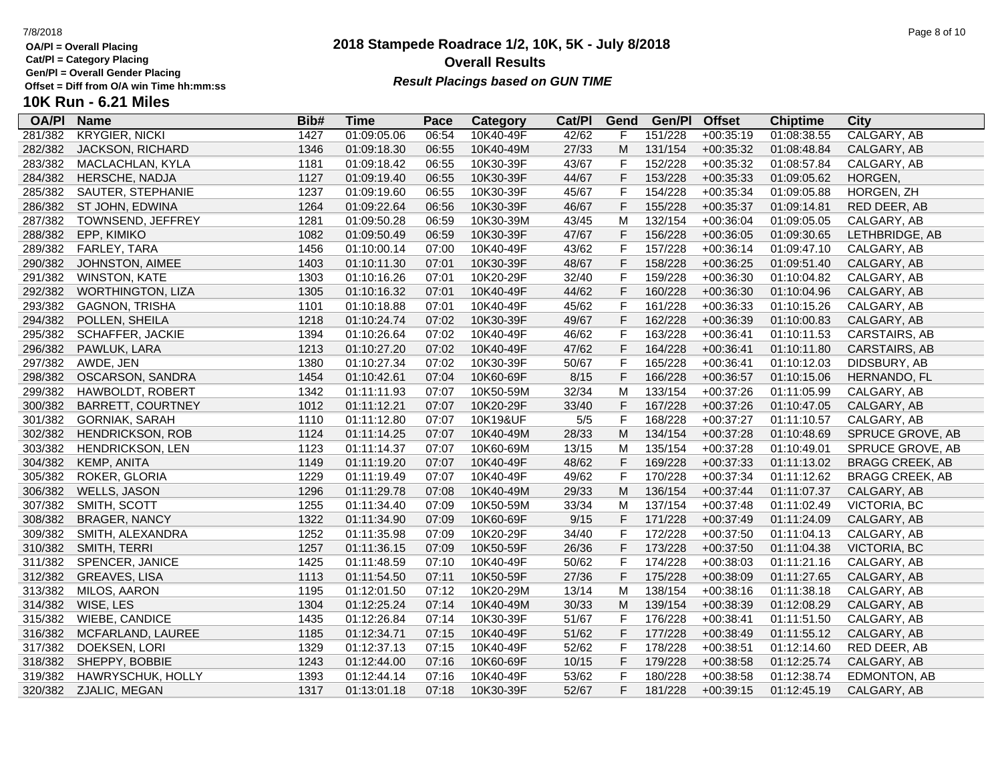**Cat/Pl = Category Placing**

**Gen/Pl = Overall Gender Placing**

## **2018 Stampede Roadrace 1/2, 10K, 5K - July 8/2018** 7/8/2018 Page 8 of 10 **Overall Results Result Placings based on GUN TIME**

|  |  | ۲aç |
|--|--|-----|
|  |  |     |

| <b>OA/PI</b> | <b>Name</b>              | Bib# | Time        | Pace  | Category  | Cat/PI | Gend           | Gen/Pl  | <b>Offset</b> | <b>Chiptime</b> | City                   |
|--------------|--------------------------|------|-------------|-------|-----------|--------|----------------|---------|---------------|-----------------|------------------------|
| 281/382      | <b>KRYGIER, NICKI</b>    | 1427 | 01:09:05.06 | 06:54 | 10K40-49F | 42/62  | F              | 151/228 | $+00:35:19$   | 01:08:38.55     | CALGARY, AB            |
| 282/382      | JACKSON, RICHARD         | 1346 | 01:09:18.30 | 06:55 | 10K40-49M | 27/33  | M              | 131/154 | $+00:35:32$   | 01:08:48.84     | CALGARY, AB            |
| 283/382      | MACLACHLAN, KYLA         | 1181 | 01:09:18.42 | 06:55 | 10K30-39F | 43/67  | F              | 152/228 | $+00:35:32$   | 01:08:57.84     | CALGARY, AB            |
| 284/382      | HERSCHE, NADJA           | 1127 | 01:09:19.40 | 06:55 | 10K30-39F | 44/67  | $\mathsf{F}$   | 153/228 | $+00:35:33$   | 01:09:05.62     | HORGEN,                |
| 285/382      | SAUTER, STEPHANIE        | 1237 | 01:09:19.60 | 06:55 | 10K30-39F | 45/67  | $\mathsf F$    | 154/228 | $+00:35:34$   | 01:09:05.88     | HORGEN, ZH             |
| 286/382      | ST JOHN, EDWINA          | 1264 | 01:09:22.64 | 06:56 | 10K30-39F | 46/67  | $\mathsf F$    | 155/228 | $+00:35:37$   | 01:09:14.81     | RED DEER, AB           |
| 287/382      | TOWNSEND, JEFFREY        | 1281 | 01:09:50.28 | 06:59 | 10K30-39M | 43/45  | M              | 132/154 | $+00:36:04$   | 01:09:05.05     | CALGARY, AB            |
| 288/382      | EPP, KIMIKO              | 1082 | 01:09:50.49 | 06:59 | 10K30-39F | 47/67  | $\mathsf{F}$   | 156/228 | $+00:36:05$   | 01:09:30.65     | LETHBRIDGE, AB         |
| 289/382      | FARLEY, TARA             | 1456 | 01:10:00.14 | 07:00 | 10K40-49F | 43/62  | $\mathsf{F}$   | 157/228 | $+00:36:14$   | 01:09:47.10     | CALGARY, AB            |
| 290/382      | JOHNSTON, AIMEE          | 1403 | 01:10:11.30 | 07:01 | 10K30-39F | 48/67  | F              | 158/228 | $+00:36:25$   | 01:09:51.40     | CALGARY, AB            |
| 291/382      | <b>WINSTON, KATE</b>     | 1303 | 01:10:16.26 | 07:01 | 10K20-29F | 32/40  | F              | 159/228 | $+00:36:30$   | 01:10:04.82     | CALGARY, AB            |
| 292/382      | <b>WORTHINGTON, LIZA</b> | 1305 | 01:10:16.32 | 07:01 | 10K40-49F | 44/62  | $\mathsf F$    | 160/228 | $+00:36:30$   | 01:10:04.96     | CALGARY, AB            |
| 293/382      | <b>GAGNON, TRISHA</b>    | 1101 | 01:10:18.88 | 07:01 | 10K40-49F | 45/62  | $\mathsf{F}$   | 161/228 | $+00:36:33$   | 01:10:15.26     | CALGARY, AB            |
| 294/382      | POLLEN, SHEILA           | 1218 | 01:10:24.74 | 07:02 | 10K30-39F | 49/67  | F              | 162/228 | $+00:36:39$   | 01:10:00.83     | CALGARY, AB            |
| 295/382      | SCHAFFER, JACKIE         | 1394 | 01:10:26.64 | 07:02 | 10K40-49F | 46/62  | $\mathsf{F}$   | 163/228 | $+00:36:41$   | 01:10:11.53     | CARSTAIRS, AB          |
| 296/382      | PAWLUK, LARA             | 1213 | 01:10:27.20 | 07:02 | 10K40-49F | 47/62  | $\mathsf F$    | 164/228 | $+00:36:41$   | 01:10:11.80     | CARSTAIRS, AB          |
| 297/382      | AWDE, JEN                | 1380 | 01:10:27.34 | 07:02 | 10K30-39F | 50/67  | $\mathsf F$    | 165/228 | $+00:36:41$   | 01:10:12.03     | DIDSBURY, AB           |
| 298/382      | OSCARSON, SANDRA         | 1454 | 01:10:42.61 | 07:04 | 10K60-69F | 8/15   | F              | 166/228 | $+00:36:57$   | 01:10:15.06     | HERNANDO, FL           |
| 299/382      | HAWBOLDT, ROBERT         | 1342 | 01:11:11.93 | 07:07 | 10K50-59M | 32/34  | M              | 133/154 | $+00:37:26$   | 01:11:05.99     | CALGARY, AB            |
| 300/382      | <b>BARRETT, COURTNEY</b> | 1012 | 01:11:12.21 | 07:07 | 10K20-29F | 33/40  | $\mathsf F$    | 167/228 | $+00:37:26$   | 01:10:47.05     | CALGARY, AB            |
| 301/382      | <b>GORNIAK, SARAH</b>    | 1110 | 01:11:12.80 | 07:07 | 10K19&UF  | $5/5$  | $\overline{F}$ | 168/228 | $+00:37:27$   | 01:11:10.57     | CALGARY, AB            |
| 302/382      | <b>HENDRICKSON, ROB</b>  | 1124 | 01:11:14.25 | 07:07 | 10K40-49M | 28/33  | M              | 134/154 | $+00:37:28$   | 01:10:48.69     | SPRUCE GROVE, AB       |
| 303/382      | HENDRICKSON, LEN         | 1123 | 01:11:14.37 | 07:07 | 10K60-69M | 13/15  | M              | 135/154 | $+00:37:28$   | 01:10:49.01     | SPRUCE GROVE, AB       |
| 304/382      | <b>KEMP, ANITA</b>       | 1149 | 01:11:19.20 | 07:07 | 10K40-49F | 48/62  | F              | 169/228 | $+00:37:33$   | 01:11:13.02     | <b>BRAGG CREEK, AB</b> |
| 305/382      | ROKER, GLORIA            | 1229 | 01:11:19.49 | 07:07 | 10K40-49F | 49/62  | $\mathsf F$    | 170/228 | $+00:37:34$   | 01:11:12.62     | <b>BRAGG CREEK, AB</b> |
| 306/382      | <b>WELLS, JASON</b>      | 1296 | 01:11:29.78 | 07:08 | 10K40-49M | 29/33  | M              | 136/154 | $+00:37:44$   | 01:11:07.37     | CALGARY, AB            |
| 307/382      | SMITH, SCOTT             | 1255 | 01:11:34.40 | 07:09 | 10K50-59M | 33/34  | M              | 137/154 | $+00:37:48$   | 01:11:02.49     | VICTORIA, BC           |
| 308/382      | <b>BRAGER, NANCY</b>     | 1322 | 01:11:34.90 | 07:09 | 10K60-69F | 9/15   | $\mathsf F$    | 171/228 | $+00:37:49$   | 01:11:24.09     | CALGARY, AB            |
| 309/382      | SMITH, ALEXANDRA         | 1252 | 01:11:35.98 | 07:09 | 10K20-29F | 34/40  | $\mathsf F$    | 172/228 | $+00:37:50$   | 01:11:04.13     | CALGARY, AB            |
| 310/382      | SMITH, TERRI             | 1257 | 01:11:36.15 | 07:09 | 10K50-59F | 26/36  | F              | 173/228 | $+00:37:50$   | 01:11:04.38     | VICTORIA, BC           |
| 311/382      | SPENCER, JANICE          | 1425 | 01:11:48.59 | 07:10 | 10K40-49F | 50/62  | $\mathsf F$    | 174/228 | $+00:38:03$   | 01:11:21.16     | CALGARY, AB            |
| 312/382      | <b>GREAVES, LISA</b>     | 1113 | 01:11:54.50 | 07:11 | 10K50-59F | 27/36  | F              | 175/228 | $+00:38:09$   | 01:11:27.65     | CALGARY, AB            |
| 313/382      | MILOS, AARON             | 1195 | 01:12:01.50 | 07:12 | 10K20-29M | 13/14  | M              | 138/154 | $+00:38:16$   | 01:11:38.18     | CALGARY, AB            |
| 314/382      | WISE, LES                | 1304 | 01:12:25.24 | 07:14 | 10K40-49M | 30/33  | M              | 139/154 | $+00:38:39$   | 01:12:08.29     | CALGARY, AB            |
| 315/382      | WIEBE, CANDICE           | 1435 | 01:12:26.84 | 07:14 | 10K30-39F | 51/67  | F              | 176/228 | $+00:38:41$   | 01:11:51.50     | CALGARY, AB            |
| 316/382      | MCFARLAND, LAUREE        | 1185 | 01:12:34.71 | 07:15 | 10K40-49F | 51/62  | $\overline{F}$ | 177/228 | $+00:38:49$   | 01:11:55.12     | CALGARY, AB            |
| 317/382      | DOEKSEN, LORI            | 1329 | 01:12:37.13 | 07:15 | 10K40-49F | 52/62  | $\mathsf{F}$   | 178/228 | $+00:38:51$   | 01:12:14.60     | RED DEER, AB           |
| 318/382      | SHEPPY, BOBBIE           | 1243 | 01:12:44.00 | 07:16 | 10K60-69F | 10/15  | $\mathsf{F}$   | 179/228 | $+00:38:58$   | 01:12:25.74     | CALGARY, AB            |
| 319/382      | HAWRYSCHUK, HOLLY        | 1393 | 01:12:44.14 | 07:16 | 10K40-49F | 53/62  | $\mathsf{F}$   | 180/228 | $+00:38:58$   | 01:12:38.74     | EDMONTON, AB           |
| 320/382      | ZJALIC, MEGAN            | 1317 | 01:13:01.18 | 07:18 | 10K30-39F | 52/67  | F              | 181/228 | $+00:39:15$   | 01:12:45.19     | CALGARY, AB            |
|              |                          |      |             |       |           |        |                |         |               |                 |                        |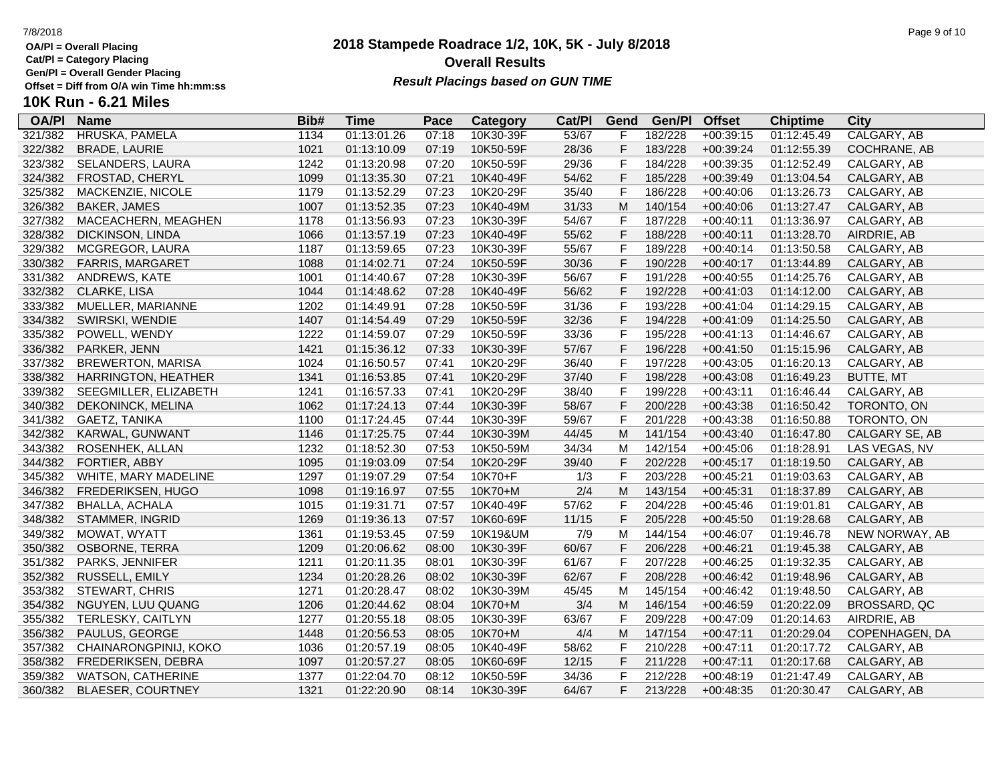**Cat/Pl = Category Placing**

**Gen/Pl = Overall Gender Placing**

**10K Run - 6.21 Miles**

| <b>OA/PI</b> | <b>Name</b>              | Bib# | Time        | Pace  | Category  | Cat/Pl | Gend         | Gen/Pl  | <b>Offset</b> | <b>Chiptime</b> | City             |
|--------------|--------------------------|------|-------------|-------|-----------|--------|--------------|---------|---------------|-----------------|------------------|
| 321/382      | HRUSKA, PAMELA           | 1134 | 01:13:01.26 | 07:18 | 10K30-39F | 53/67  | F            | 182/228 | $+00:39:15$   | 01:12:45.49     | CALGARY, AB      |
| 322/382      | <b>BRADE, LAURIE</b>     | 1021 | 01:13:10.09 | 07:19 | 10K50-59F | 28/36  | F            | 183/228 | $+00:39:24$   | 01:12:55.39     | COCHRANE, AB     |
| 323/382      | SELANDERS, LAURA         | 1242 | 01:13:20.98 | 07:20 | 10K50-59F | 29/36  | F            | 184/228 | $+00:39:35$   | 01:12:52.49     | CALGARY, AB      |
| 324/382      | FROSTAD, CHERYL          | 1099 | 01:13:35.30 | 07:21 | 10K40-49F | 54/62  | $\mathsf{F}$ | 185/228 | $+00:39:49$   | 01:13:04.54     | CALGARY, AB      |
| 325/382      | MACKENZIE, NICOLE        | 1179 | 01:13:52.29 | 07:23 | 10K20-29F | 35/40  | F            | 186/228 | $+00:40:06$   | 01:13:26.73     | CALGARY, AB      |
| 326/382      | BAKER, JAMES             | 1007 | 01:13:52.35 | 07:23 | 10K40-49M | 31/33  | M            | 140/154 | $+00:40:06$   | 01:13:27.47     | CALGARY, AB      |
| 327/382      | MACEACHERN, MEAGHEN      | 1178 | 01:13:56.93 | 07:23 | 10K30-39F | 54/67  | $\mathsf{F}$ | 187/228 | $+00:40:11$   | 01:13:36.97     | CALGARY, AB      |
| 328/382      | DICKINSON, LINDA         | 1066 | 01:13:57.19 | 07:23 | 10K40-49F | 55/62  | F            | 188/228 | $+00:40:11$   | 01:13:28.70     | AIRDRIE, AB      |
| 329/382      | MCGREGOR, LAURA          | 1187 | 01:13:59.65 | 07:23 | 10K30-39F | 55/67  | $\mathsf F$  | 189/228 | $+00:40:14$   | 01:13:50.58     | CALGARY, AB      |
| 330/382      | <b>FARRIS, MARGARET</b>  | 1088 | 01:14:02.71 | 07:24 | 10K50-59F | 30/36  | $\mathsf{F}$ | 190/228 | $+00:40:17$   | 01:13:44.89     | CALGARY, AB      |
| 331/382      | ANDREWS, KATE            | 1001 | 01:14:40.67 | 07:28 | 10K30-39F | 56/67  | F            | 191/228 | $+00:40:55$   | 01:14:25.76     | CALGARY, AB      |
| 332/382      | <b>CLARKE, LISA</b>      | 1044 | 01:14:48.62 | 07:28 | 10K40-49F | 56/62  | F            | 192/228 | $+00:41:03$   | 01:14:12.00     | CALGARY, AB      |
| 333/382      | MUELLER, MARIANNE        | 1202 | 01:14:49.91 | 07:28 | 10K50-59F | 31/36  | $\mathsf F$  | 193/228 | $+00:41:04$   | 01:14:29.15     | CALGARY, AB      |
| 334/382      | SWIRSKI, WENDIE          | 1407 | 01:14:54.49 | 07:29 | 10K50-59F | 32/36  | $\mathsf F$  | 194/228 | $+00:41:09$   | 01:14:25.50     | CALGARY, AB      |
| 335/382      | POWELL, WENDY            | 1222 | 01:14:59.07 | 07:29 | 10K50-59F | 33/36  | $\mathsf F$  | 195/228 | $+00:41:13$   | 01:14:46.67     | CALGARY, AB      |
| 336/382      | PARKER, JENN             | 1421 | 01:15:36.12 | 07:33 | 10K30-39F | 57/67  | $\mathsf{F}$ | 196/228 | $+00:41:50$   | 01:15:15.96     | CALGARY, AB      |
| 337/382      | <b>BREWERTON, MARISA</b> | 1024 | 01:16:50.57 | 07:41 | 10K20-29F | 36/40  | F            | 197/228 | $+00:43:05$   | 01:16:20.13     | CALGARY, AB      |
| 338/382      | HARRINGTON, HEATHER      | 1341 | 01:16:53.85 | 07:41 | 10K20-29F | 37/40  | F            | 198/228 | $+00:43:08$   | 01:16:49.23     | <b>BUTTE, MT</b> |
| 339/382      | SEEGMILLER, ELIZABETH    | 1241 | 01:16:57.33 | 07:41 | 10K20-29F | 38/40  | $\mathsf{F}$ | 199/228 | $+00:43:11$   | 01:16:46.44     | CALGARY, AB      |
| 340/382      | DEKONINCK, MELINA        | 1062 | 01:17:24.13 | 07:44 | 10K30-39F | 58/67  | $\mathsf F$  | 200/228 | $+00:43:38$   | 01:16:50.42     | TORONTO, ON      |
| 341/382      | GAETZ, TANIKA            | 1100 | 01:17:24.45 | 07:44 | 10K30-39F | 59/67  | $\mathsf F$  | 201/228 | $+00:43:38$   | 01:16:50.88     | TORONTO, ON      |
| 342/382      | KARWAL, GUNWANT          | 1146 | 01:17:25.75 | 07:44 | 10K30-39M | 44/45  | M            | 141/154 | $+00:43:40$   | 01:16:47.80     | CALGARY SE, AB   |
| 343/382      | ROSENHEK, ALLAN          | 1232 | 01:18:52.30 | 07:53 | 10K50-59M | 34/34  | M            | 142/154 | $+00:45:06$   | 01:18:28.91     | LAS VEGAS, NV    |
| 344/382      | FORTIER, ABBY            | 1095 | 01:19:03.09 | 07:54 | 10K20-29F | 39/40  | F            | 202/228 | $+00:45:17$   | 01:18:19.50     | CALGARY, AB      |
| 345/382      | WHITE, MARY MADELINE     | 1297 | 01:19:07.29 | 07:54 | 10K70+F   | 1/3    | $\mathsf{F}$ | 203/228 | $+00:45:21$   | 01:19:03.63     | CALGARY, AB      |
| 346/382      | FREDERIKSEN, HUGO        | 1098 | 01:19:16.97 | 07:55 | 10K70+M   | 2/4    | M            | 143/154 | $+00:45:31$   | 01:18:37.89     | CALGARY, AB      |
| 347/382      | BHALLA, ACHALA           | 1015 | 01:19:31.71 | 07:57 | 10K40-49F | 57/62  | F            | 204/228 | $+00:45:46$   | 01:19:01.81     | CALGARY, AB      |
| 348/382      | STAMMER, INGRID          | 1269 | 01:19:36.13 | 07:57 | 10K60-69F | 11/15  | $\mathsf F$  | 205/228 | $+00:45:50$   | 01:19:28.68     | CALGARY, AB      |
| 349/382      | MOWAT, WYATT             | 1361 | 01:19:53.45 | 07:59 | 10K19&UM  | 7/9    | M            | 144/154 | $+00:46:07$   | 01:19:46.78     | NEW NORWAY, AB   |
| 350/382      | OSBORNE, TERRA           | 1209 | 01:20:06.62 | 08:00 | 10K30-39F | 60/67  | $\mathsf F$  | 206/228 | $+00:46:21$   | 01:19:45.38     | CALGARY, AB      |
| 351/382      | PARKS, JENNIFER          | 1211 | 01:20:11.35 | 08:01 | 10K30-39F | 61/67  | $\mathsf F$  | 207/228 | $+00:46:25$   | 01:19:32.35     | CALGARY, AB      |
| 352/382      | RUSSELL, EMILY           | 1234 | 01:20:28.26 | 08:02 | 10K30-39F | 62/67  | $\mathsf F$  | 208/228 | $+00:46:42$   | 01:19:48.96     | CALGARY, AB      |
| 353/382      | STEWART, CHRIS           | 1271 | 01:20:28.47 | 08:02 | 10K30-39M | 45/45  | M            | 145/154 | $+00:46:42$   | 01:19:48.50     | CALGARY, AB      |
| 354/382      | NGUYEN, LUU QUANG        | 1206 | 01:20:44.62 | 08:04 | 10K70+M   | 3/4    | M            | 146/154 | $+00:46:59$   | 01:20:22.09     | BROSSARD, QC     |
| 355/382      | TERLESKY, CAITLYN        | 1277 | 01:20:55.18 | 08:05 | 10K30-39F | 63/67  | F            | 209/228 | $+00:47:09$   | 01:20:14.63     | AIRDRIE, AB      |
| 356/382      | PAULUS, GEORGE           | 1448 | 01:20:56.53 | 08:05 | 10K70+M   | 4/4    | M            | 147/154 | $+00:47:11$   | 01:20:29.04     | COPENHAGEN, DA   |
| 357/382      | CHAINARONGPINIJ, KOKO    | 1036 | 01:20:57.19 | 08:05 | 10K40-49F | 58/62  | F            | 210/228 | $+00:47:11$   | 01:20:17.72     | CALGARY, AB      |
| 358/382      | FREDERIKSEN, DEBRA       | 1097 | 01:20:57.27 | 08:05 | 10K60-69F | 12/15  | $\mathsf F$  | 211/228 | $+00:47:11$   | 01:20:17.68     | CALGARY, AB      |
| 359/382      | <b>WATSON, CATHERINE</b> | 1377 | 01:22:04.70 | 08:12 | 10K50-59F | 34/36  | $\mathsf F$  | 212/228 | $+00:48:19$   | 01:21:47.49     | CALGARY, AB      |
| 360/382      | <b>BLAESER, COURTNEY</b> | 1321 | 01:22:20.90 | 08:14 | 10K30-39F | 64/67  | F            | 213/228 | $+00:48:35$   | 01:20:30.47     | CALGARY, AB      |

## **2018 Stampede Roadrace 1/2, 10K, 5K - July 8/2018** 7/8/2018 Page 9 of 10 **Overall Results Result Placings based on GUN TIME**